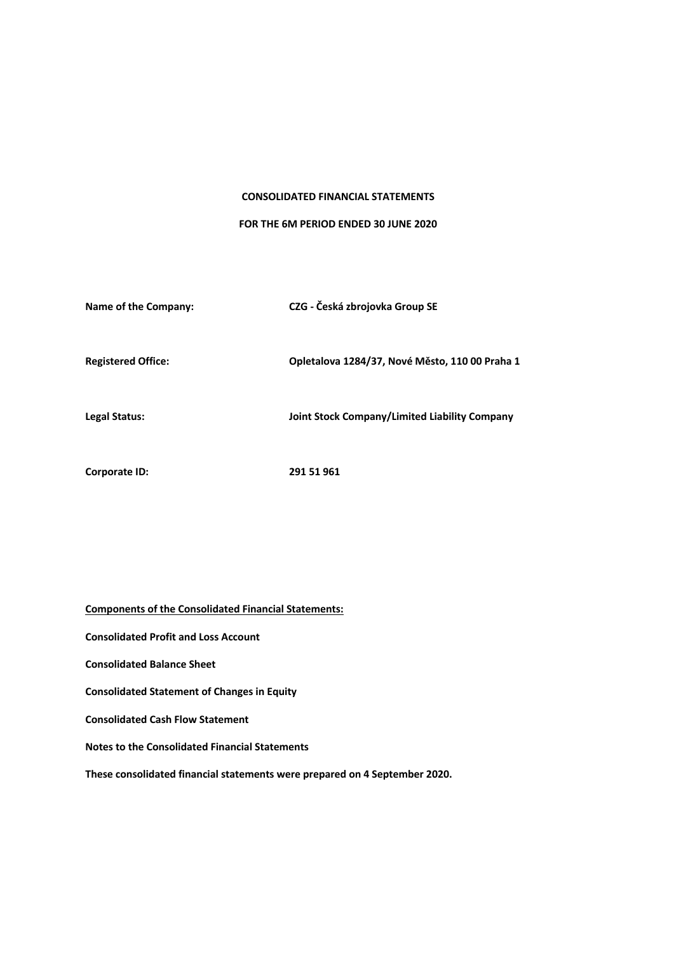### **CONSOLIDATED FINANCIAL STATEMENTS**

### **FOR THE 6M PERIOD ENDED 30 JUNE 2020**

| Name of the Company:      | CZG - Česká zbrojovka Group SE                 |
|---------------------------|------------------------------------------------|
| <b>Registered Office:</b> | Opletalova 1284/37, Nové Město, 110 00 Praha 1 |
| Legal Status:             | Joint Stock Company/Limited Liability Company  |
| Corporate ID:             | 291 51 961                                     |

**Components of the Consolidated Financial Statements: Consolidated Profit and Loss Account Consolidated Balance Sheet Consolidated Statement of Changes in Equity Consolidated Cash Flow Statement Notes to the Consolidated Financial Statements These consolidated financial statements were prepared on 4 September 2020.**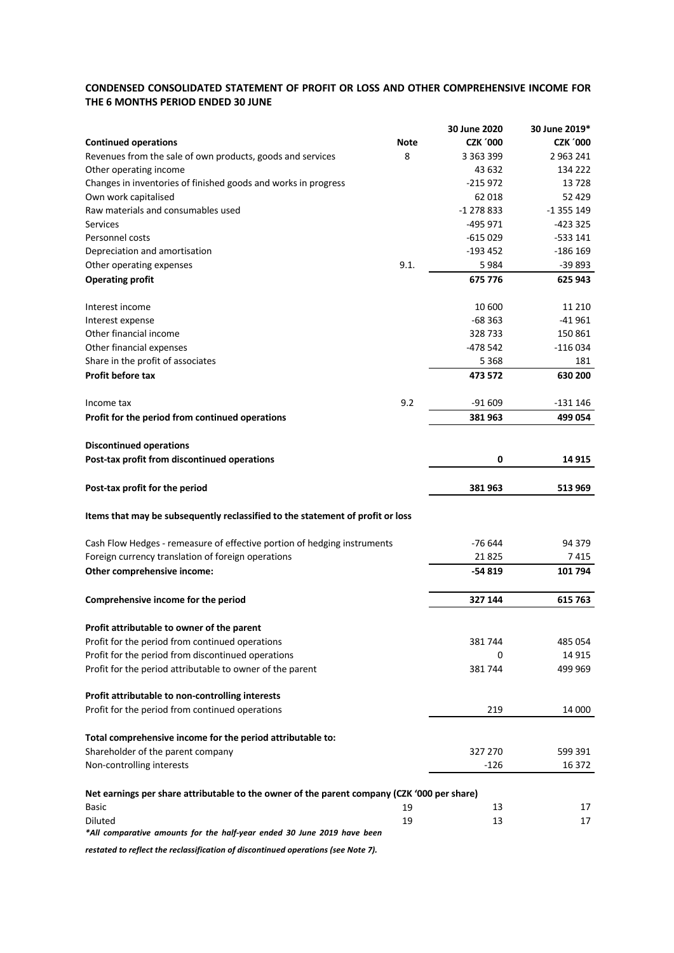# **CONDENSED CONSOLIDATED STATEMENT OF PROFIT OR LOSS AND OTHER COMPREHENSIVE INCOME FOR THE 6 MONTHS PERIOD ENDED 30 JUNE**

|                                                                                             |      | 30 June 2020    | 30 June 2019*   |
|---------------------------------------------------------------------------------------------|------|-----------------|-----------------|
| <b>Continued operations</b>                                                                 | Note | <b>CZK '000</b> | <b>CZK '000</b> |
| Revenues from the sale of own products, goods and services                                  | 8    | 3 3 6 3 3 9 9   | 2 9 63 2 41     |
| Other operating income                                                                      |      | 43 632          | 134 222         |
| Changes in inventories of finished goods and works in progress                              |      | $-215972$       | 13728           |
| Own work capitalised                                                                        |      | 62 018          | 52 429          |
| Raw materials and consumables used                                                          |      | $-1278833$      | $-1355149$      |
| <b>Services</b>                                                                             |      | -495 971        | -423 325        |
| Personnel costs                                                                             |      | $-615029$       | -533 141        |
| Depreciation and amortisation                                                               |      | $-193452$       | $-186$ 169      |
| Other operating expenses                                                                    | 9.1. | 5984            | $-39893$        |
| <b>Operating profit</b>                                                                     |      | 675 776         | 625 943         |
|                                                                                             |      |                 |                 |
| Interest income                                                                             |      | 10 600          | 11 210          |
| Interest expense                                                                            |      | $-68363$        | -41 961         |
| Other financial income                                                                      |      | 328733          | 150 861         |
| Other financial expenses                                                                    |      | -478 542        | $-116034$       |
| Share in the profit of associates                                                           |      | 5 3 6 8         | 181             |
| <b>Profit before tax</b>                                                                    |      | 473 572         | 630 200         |
|                                                                                             |      |                 |                 |
| Income tax                                                                                  | 9.2  | $-91609$        | -131 146        |
| Profit for the period from continued operations                                             |      | 381963          | 499 054         |
|                                                                                             |      |                 |                 |
| <b>Discontinued operations</b>                                                              |      |                 |                 |
| Post-tax profit from discontinued operations                                                |      | 0               | 14 915          |
| Post-tax profit for the period                                                              |      | 381 963         | 513 969         |
| Items that may be subsequently reclassified to the statement of profit or loss              |      |                 |                 |
|                                                                                             |      |                 |                 |
| Cash Flow Hedges - remeasure of effective portion of hedging instruments                    |      | -76 644         | 94 379          |
| Foreign currency translation of foreign operations                                          |      | 21825           | 7 415           |
| Other comprehensive income:                                                                 |      | -54 819         | 101 794         |
|                                                                                             |      |                 |                 |
| Comprehensive income for the period                                                         |      | 327 144         | 615 763         |
| Profit attributable to owner of the parent                                                  |      |                 |                 |
| Profit for the period from continued operations                                             |      | 381744          | 485 054         |
| Profit for the period from discontinued operations                                          |      | 0               | 14 9 15         |
| Profit for the period attributable to owner of the parent                                   |      | 381744          | 499 969         |
|                                                                                             |      |                 |                 |
| Profit attributable to non-controlling interests                                            |      |                 |                 |
| Profit for the period from continued operations                                             |      | 219             | 14 000          |
|                                                                                             |      |                 |                 |
| Total comprehensive income for the period attributable to:                                  |      |                 |                 |
| Shareholder of the parent company                                                           |      | 327 270         | 599 391         |
| Non-controlling interests                                                                   |      | $-126$          | 16 372          |
| Net earnings per share attributable to the owner of the parent company (CZK '000 per share) |      |                 |                 |
| Basic                                                                                       | 19   | 13              | 17              |
| Diluted                                                                                     | 19   | 13              | 17              |
| *All comparative amounts for the half-year ended 30 June 2019 have been                     |      |                 |                 |
| restated to reflect the reclassification of discontinued operations (see Note 7).           |      |                 |                 |
|                                                                                             |      |                 |                 |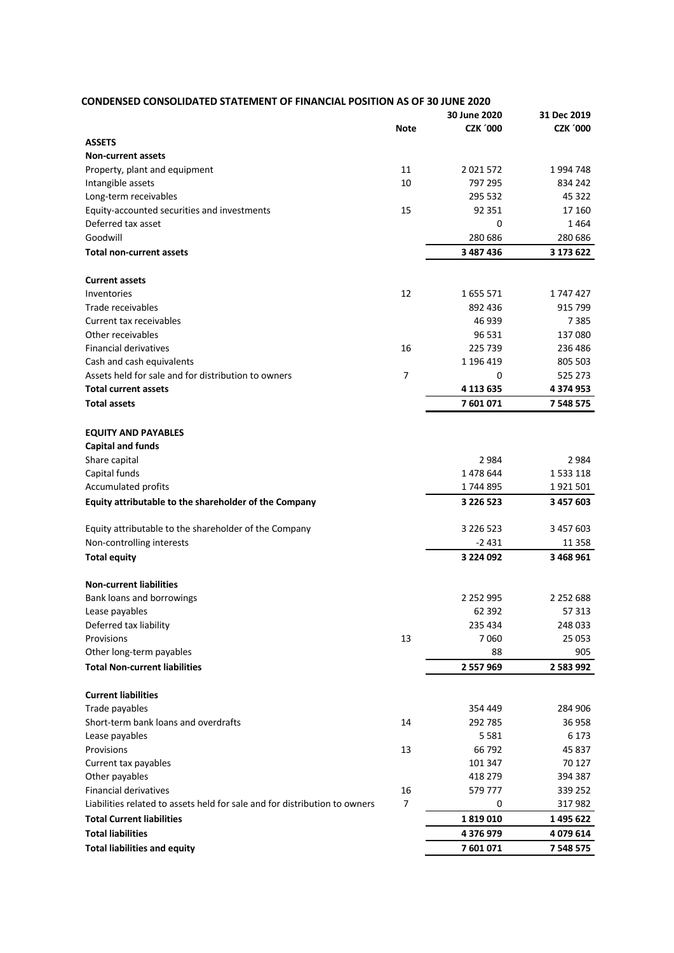| <b>CONDENSED CONSOLIDATED STATEMENT OF FINANCIAL POSITION AS OF 30 JUNE 2020</b> |                |                 |                 |  |
|----------------------------------------------------------------------------------|----------------|-----------------|-----------------|--|
|                                                                                  |                | 30 June 2020    | 31 Dec 2019     |  |
|                                                                                  | <b>Note</b>    | <b>CZK '000</b> | <b>CZK '000</b> |  |
| <b>ASSETS</b>                                                                    |                |                 |                 |  |
| <b>Non-current assets</b>                                                        |                |                 |                 |  |
| Property, plant and equipment                                                    | 11             | 2 0 2 1 5 7 2   | 1994748         |  |
| Intangible assets                                                                | 10             | 797 295         | 834 242         |  |
| Long-term receivables                                                            |                | 295 532         | 45 3 22         |  |
| Equity-accounted securities and investments                                      | 15             | 92 351          | 17 160          |  |
| Deferred tax asset                                                               |                | 0               | 1464            |  |
| Goodwill                                                                         |                | 280 686         | 280 686         |  |
| <b>Total non-current assets</b>                                                  |                | 3 487 436       | 3 173 622       |  |
| <b>Current assets</b>                                                            |                |                 |                 |  |
| Inventories                                                                      | 12             | 1655571         | 1747427         |  |
| Trade receivables                                                                |                | 892 436         | 915 799         |  |
| Current tax receivables                                                          |                | 46 939          | 7385            |  |
| Other receivables                                                                |                | 96 531          | 137080          |  |
| <b>Financial derivatives</b>                                                     | 16             | 225 739         | 236 486         |  |
| Cash and cash equivalents                                                        |                | 1 196 419       | 805 503         |  |
| Assets held for sale and for distribution to owners                              | 7              | 0               | 525 273         |  |
| <b>Total current assets</b>                                                      |                | 4 113 635       | 4 374 953       |  |
| <b>Total assets</b>                                                              |                | 7601071         | 7 548 575       |  |
|                                                                                  |                |                 |                 |  |
| <b>EQUITY AND PAYABLES</b>                                                       |                |                 |                 |  |
| <b>Capital and funds</b>                                                         |                |                 |                 |  |
| Share capital                                                                    |                | 2984            | 2984            |  |
| Capital funds                                                                    |                | 1 478 644       | 1 5 3 1 1 1 8   |  |
| Accumulated profits                                                              |                | 1744895         | 1921501         |  |
| Equity attributable to the shareholder of the Company                            |                | 3 226 523       | 3 457 603       |  |
| Equity attributable to the shareholder of the Company                            |                | 3 2 2 6 5 2 3   | 3 457 603       |  |
| Non-controlling interests                                                        |                | $-2431$         | 11 3 5 8        |  |
| <b>Total equity</b>                                                              |                | 3 224 092       | 3 468 961       |  |
| <b>Non-current liabilities</b>                                                   |                |                 |                 |  |
| Bank loans and borrowings                                                        |                | 2 2 5 2 9 9 5   | 2 2 5 2 6 8 8   |  |
| Lease payables                                                                   |                | 62 3 92         | 57313           |  |
| Deferred tax liability                                                           |                | 235 434         | 248 033         |  |
| Provisions                                                                       | 13             | 7060            | 25 053          |  |
| Other long-term payables                                                         |                | 88              | 905             |  |
| <b>Total Non-current liabilities</b>                                             |                | 2 557 969       | 2 583 992       |  |
|                                                                                  |                |                 |                 |  |
| <b>Current liabilities</b>                                                       |                |                 |                 |  |
| Trade payables                                                                   |                | 354 449         | 284 906         |  |
| Short-term bank loans and overdrafts                                             | 14             | 292 785         | 36958           |  |
| Lease payables                                                                   |                | 5581            | 6 1 7 3         |  |
| Provisions                                                                       | 13             | 66 792          | 45 837          |  |
| Current tax payables                                                             |                | 101 347         | 70 127          |  |
| Other payables                                                                   |                | 418 279         | 394 387         |  |
| <b>Financial derivatives</b>                                                     | 16             | 579 777         | 339 252         |  |
| Liabilities related to assets held for sale and for distribution to owners       | $\overline{7}$ | 0               | 317982          |  |
| <b>Total Current liabilities</b>                                                 |                | 1819010         | 1 495 622       |  |
| <b>Total liabilities</b>                                                         |                | 4 376 979       | 4 079 614       |  |
| <b>Total liabilities and equity</b>                                              |                | 7601071         | 7 548 575       |  |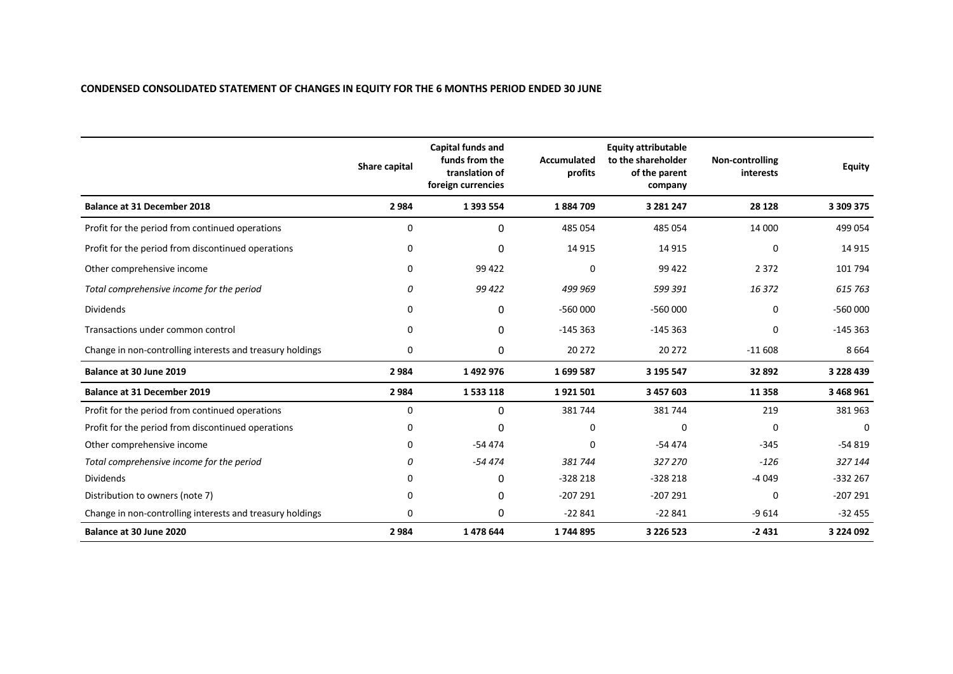# **CONDENSED CONSOLIDATED STATEMENT OF CHANGES IN EQUITY FOR THE 6 MONTHS PERIOD ENDED 30 JUNE**

|                                                           | Share capital | Capital funds and<br>funds from the<br>translation of<br>foreign currencies | <b>Accumulated</b><br>profits | <b>Equity attributable</b><br>to the shareholder<br>of the parent<br>company | Non-controlling<br>interests | <b>Equity</b> |
|-----------------------------------------------------------|---------------|-----------------------------------------------------------------------------|-------------------------------|------------------------------------------------------------------------------|------------------------------|---------------|
| <b>Balance at 31 December 2018</b>                        | 2984          | 1 3 9 3 5 5 4                                                               | 1884709                       | 3 281 247                                                                    | 28 1 28                      | 3 309 375     |
| Profit for the period from continued operations           | 0             | 0                                                                           | 485 054                       | 485 054                                                                      | 14 000                       | 499 054       |
| Profit for the period from discontinued operations        | 0             | $\Omega$                                                                    | 14 915                        | 14 9 15                                                                      | 0                            | 14 9 15       |
| Other comprehensive income                                | 0             | 99 4 22                                                                     | 0                             | 99 422                                                                       | 2 3 7 2                      | 101 794       |
| Total comprehensive income for the period                 | 0             | 99 4 22                                                                     | 499 969                       | 599 391                                                                      | 16372                        | 615 763       |
| <b>Dividends</b>                                          | 0             | 0                                                                           | $-560000$                     | $-560000$                                                                    | 0                            | $-560000$     |
| Transactions under common control                         | 0             | 0                                                                           | $-145363$                     | $-145363$                                                                    | 0                            | $-145363$     |
| Change in non-controlling interests and treasury holdings | 0             | 0                                                                           | 20 27 2                       | 20 27 2                                                                      | $-11608$                     | 8664          |
| Balance at 30 June 2019                                   | 2984          | 1492976                                                                     | 1699587                       | 3 195 547                                                                    | 32 892                       | 3 2 2 8 4 3 9 |
| <b>Balance at 31 December 2019</b>                        | 2984          | 1533118                                                                     | 1921501                       | 3 457 603                                                                    | 11 3 58                      | 3 468 961     |
| Profit for the period from continued operations           | 0             | 0                                                                           | 381744                        | 381744                                                                       | 219                          | 381963        |
| Profit for the period from discontinued operations        | 0             | $\Omega$                                                                    | 0                             | $\Omega$                                                                     | 0                            | 0             |
| Other comprehensive income                                | 0             | $-54474$                                                                    | ŋ                             | $-54474$                                                                     | $-345$                       | $-54819$      |
| Total comprehensive income for the period                 | 0             | $-54474$                                                                    | 381 744                       | 327 270                                                                      | $-126$                       | 327 144       |
| <b>Dividends</b>                                          | 0             | 0                                                                           | $-328218$                     | $-328218$                                                                    | $-4049$                      | $-332267$     |
| Distribution to owners (note 7)                           | 0             | $\Omega$                                                                    | $-207291$                     | $-207291$                                                                    | 0                            | $-207291$     |
| Change in non-controlling interests and treasury holdings | 0             | 0                                                                           | $-22841$                      | $-22841$                                                                     | $-9614$                      | $-32455$      |
| Balance at 30 June 2020                                   | 2984          | 1478644                                                                     | 1744895                       | 3 2 2 6 5 2 3                                                                | $-2431$                      | 3 2 2 4 0 9 2 |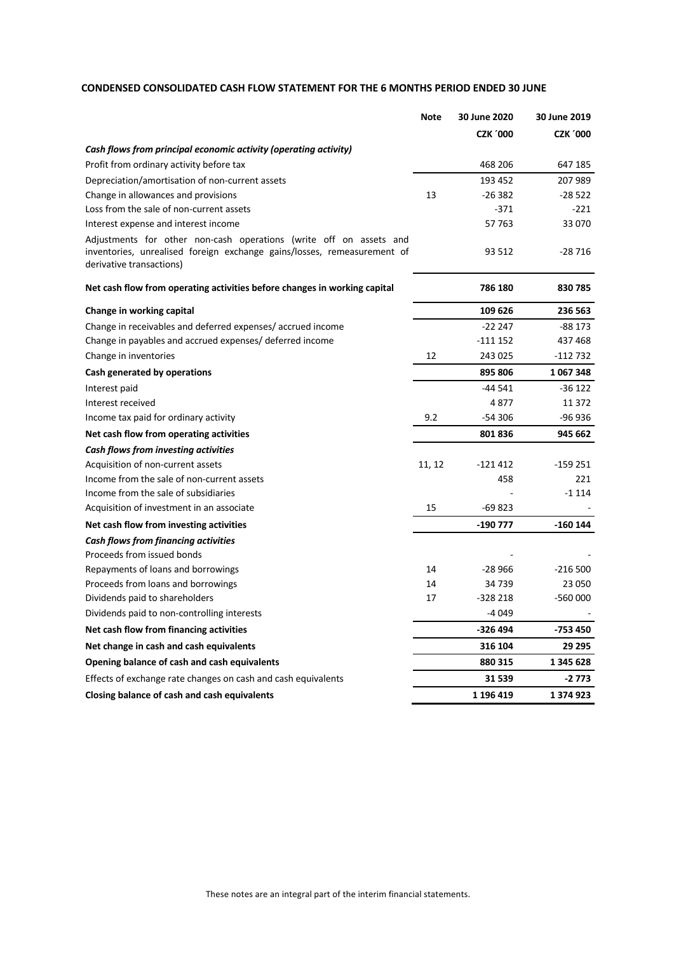# **CONDENSED CONSOLIDATED CASH FLOW STATEMENT FOR THE 6 MONTHS PERIOD ENDED 30 JUNE**

|                                                                                                                                                                           | <b>Note</b> | 30 June 2020    | 30 June 2019    |
|---------------------------------------------------------------------------------------------------------------------------------------------------------------------------|-------------|-----------------|-----------------|
|                                                                                                                                                                           |             | <b>CZK '000</b> | <b>CZK '000</b> |
| Cash flows from principal economic activity (operating activity)                                                                                                          |             |                 |                 |
| Profit from ordinary activity before tax                                                                                                                                  |             | 468 206         | 647 185         |
| Depreciation/amortisation of non-current assets                                                                                                                           |             | 193 452         | 207 989         |
| Change in allowances and provisions                                                                                                                                       | 13          | $-26382$        | $-28522$        |
| Loss from the sale of non-current assets                                                                                                                                  |             | $-371$          | $-221$          |
| Interest expense and interest income                                                                                                                                      |             | 57 763          | 33 070          |
| Adjustments for other non-cash operations (write off on assets and<br>inventories, unrealised foreign exchange gains/losses, remeasurement of<br>derivative transactions) |             | 93 512          | $-28716$        |
| Net cash flow from operating activities before changes in working capital                                                                                                 |             | 786 180         | 830785          |
| Change in working capital                                                                                                                                                 |             | 109 626         | 236 563         |
| Change in receivables and deferred expenses/accrued income                                                                                                                |             | $-222247$       | -88 173         |
| Change in payables and accrued expenses/ deferred income                                                                                                                  |             | $-1111152$      | 437 468         |
| Change in inventories                                                                                                                                                     | 12          | 243 025         | -112 732        |
| Cash generated by operations                                                                                                                                              |             | 895 806         | 1067348         |
| Interest paid                                                                                                                                                             |             | $-44541$        | -36 122         |
| Interest received                                                                                                                                                         |             | 4877            | 11 372          |
| Income tax paid for ordinary activity                                                                                                                                     | 9.2         | $-54306$        | $-96936$        |
| Net cash flow from operating activities                                                                                                                                   |             | 801836          | 945 662         |
| Cash flows from investing activities                                                                                                                                      |             |                 |                 |
| Acquisition of non-current assets                                                                                                                                         | 11, 12      | $-121412$       | -159 251        |
| Income from the sale of non-current assets                                                                                                                                |             | 458             | 221             |
| Income from the sale of subsidiaries                                                                                                                                      |             |                 | $-1114$         |
| Acquisition of investment in an associate                                                                                                                                 | 15          | $-69823$        |                 |
| Net cash flow from investing activities                                                                                                                                   |             | -190 777        | $-160$ 144      |
| <b>Cash flows from financing activities</b>                                                                                                                               |             |                 |                 |
| Proceeds from issued bonds                                                                                                                                                |             |                 |                 |
| Repayments of loans and borrowings                                                                                                                                        | 14          | $-28966$        | $-216500$       |
| Proceeds from loans and borrowings                                                                                                                                        | 14          | 34 739          | 23 050          |
| Dividends paid to shareholders                                                                                                                                            | 17          | $-328218$       | -560 000        |
| Dividends paid to non-controlling interests                                                                                                                               |             | $-4049$         |                 |
| Net cash flow from financing activities                                                                                                                                   |             | -326 494        | -753 450        |
| Net change in cash and cash equivalents                                                                                                                                   |             | 316 104         | 29 295          |
| Opening balance of cash and cash equivalents                                                                                                                              |             | 880 315         | 1 345 628       |
| Effects of exchange rate changes on cash and cash equivalents                                                                                                             |             | 31 539          | -2 773          |
| Closing balance of cash and cash equivalents                                                                                                                              |             | 1 196 419       | 1374923         |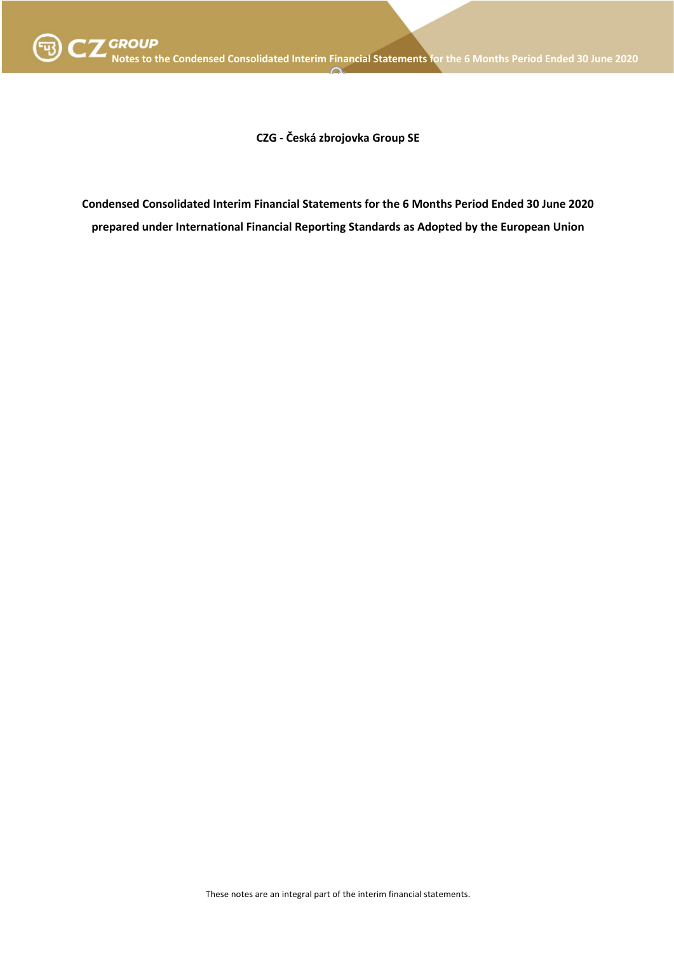

**CZG - Česká zbrojovka Group SE**

**Condensed Consolidated Interim Financial Statements for the 6 Months Period Ended 30 June 2020 prepared under International Financial Reporting Standards as Adopted by the European Union**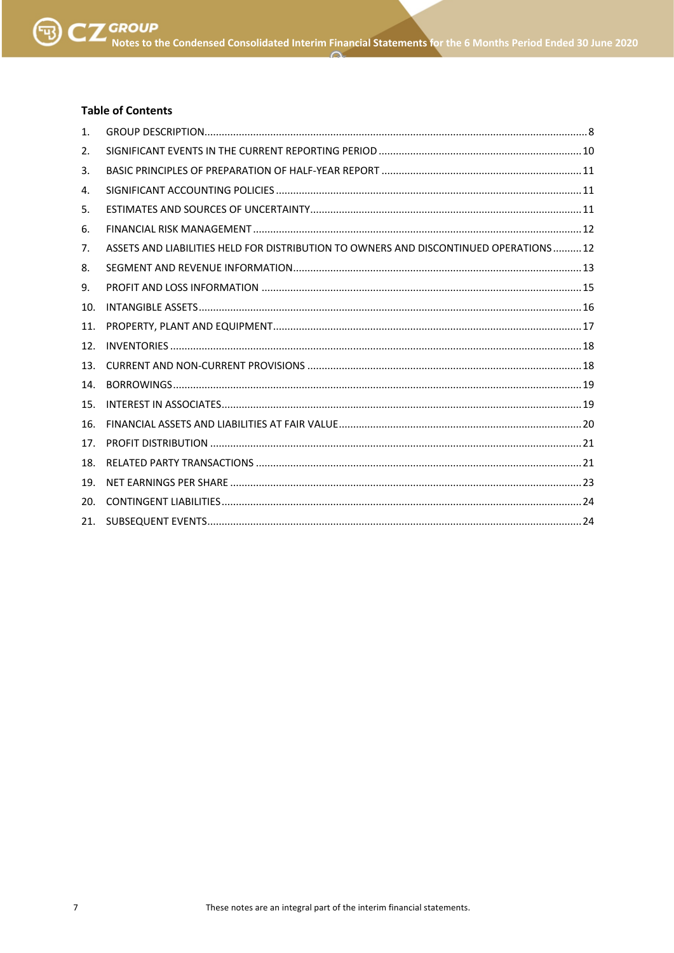# **Table of Contents**

| 1.  |                                                                                       |  |
|-----|---------------------------------------------------------------------------------------|--|
| 2.  |                                                                                       |  |
| 3.  |                                                                                       |  |
| 4.  |                                                                                       |  |
| 5.  |                                                                                       |  |
| 6.  |                                                                                       |  |
| 7.  | ASSETS AND LIABILITIES HELD FOR DISTRIBUTION TO OWNERS AND DISCONTINUED OPERATIONS 12 |  |
| 8.  |                                                                                       |  |
| 9.  |                                                                                       |  |
| 10. |                                                                                       |  |
| 11. |                                                                                       |  |
| 12. |                                                                                       |  |
| 13. |                                                                                       |  |
| 14. |                                                                                       |  |
| 15. |                                                                                       |  |
| 16. |                                                                                       |  |
| 17. |                                                                                       |  |
| 18. |                                                                                       |  |
| 19. |                                                                                       |  |
| 20. |                                                                                       |  |
| 21. |                                                                                       |  |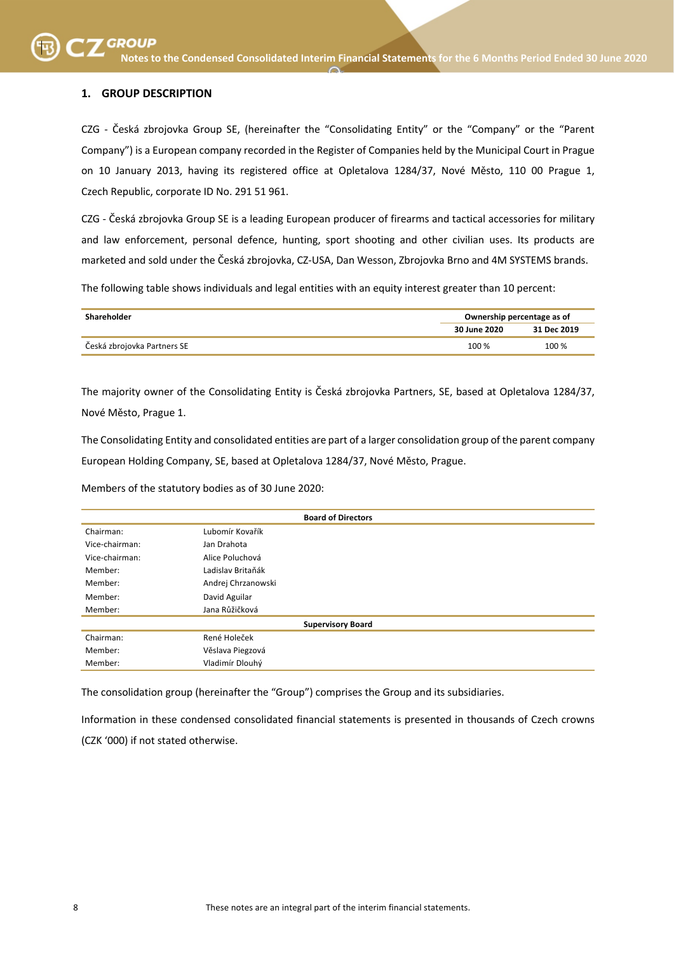# **1. GROUP DESCRIPTION**

CZG - Česká zbrojovka Group SE, (hereinafter the "Consolidating Entity" or the "Company" or the "Parent Company") is a European company recorded in the Register of Companies held by the Municipal Court in Prague on 10 January 2013, having its registered office at Opletalova 1284/37, Nové Město, 110 00 Prague 1, Czech Republic, corporate ID No. 291 51 961.

CZG - Česká zbrojovka Group SE is a leading European producer of firearms and tactical accessories for military and law enforcement, personal defence, hunting, sport shooting and other civilian uses. Its products are marketed and sold under the Česká zbrojovka, CZ-USA, Dan Wesson, Zbrojovka Brno and 4M SYSTEMS brands.

The following table shows individuals and legal entities with an equity interest greater than 10 percent:

| Shareholder                 |              | Ownership percentage as of |  |  |
|-----------------------------|--------------|----------------------------|--|--|
|                             | 30 June 2020 | 31 Dec 2019                |  |  |
| Česká zbrojovka Partners SE | 100 %        | 100 %                      |  |  |

The majority owner of the Consolidating Entity is Česká zbrojovka Partners, SE, based at Opletalova 1284/37, Nové Město, Prague 1.

The Consolidating Entity and consolidated entities are part of a larger consolidation group of the parent company European Holding Company, SE, based at Opletalova 1284/37, Nové Město, Prague.

Members of the statutory bodies as of 30 June 2020:

| <b>Board of Directors</b> |                          |  |  |
|---------------------------|--------------------------|--|--|
| Chairman:                 | Lubomír Kovařík          |  |  |
| Vice-chairman:            | Jan Drahota              |  |  |
| Vice-chairman:            | Alice Poluchová          |  |  |
| Member:                   | Ladislav Britaňák        |  |  |
| Member:                   | Andrej Chrzanowski       |  |  |
| Member:                   | David Aguilar            |  |  |
| Member:                   | Jana Růžičková           |  |  |
|                           | <b>Supervisory Board</b> |  |  |
| Chairman:                 | René Holeček             |  |  |
| Member:                   | Věslava Piegzová         |  |  |
| Member:                   | Vladimír Dlouhý          |  |  |

The consolidation group (hereinafter the "Group") comprises the Group and its subsidiaries.

Information in these condensed consolidated financial statements is presented in thousands of Czech crowns (CZK '000) if not stated otherwise.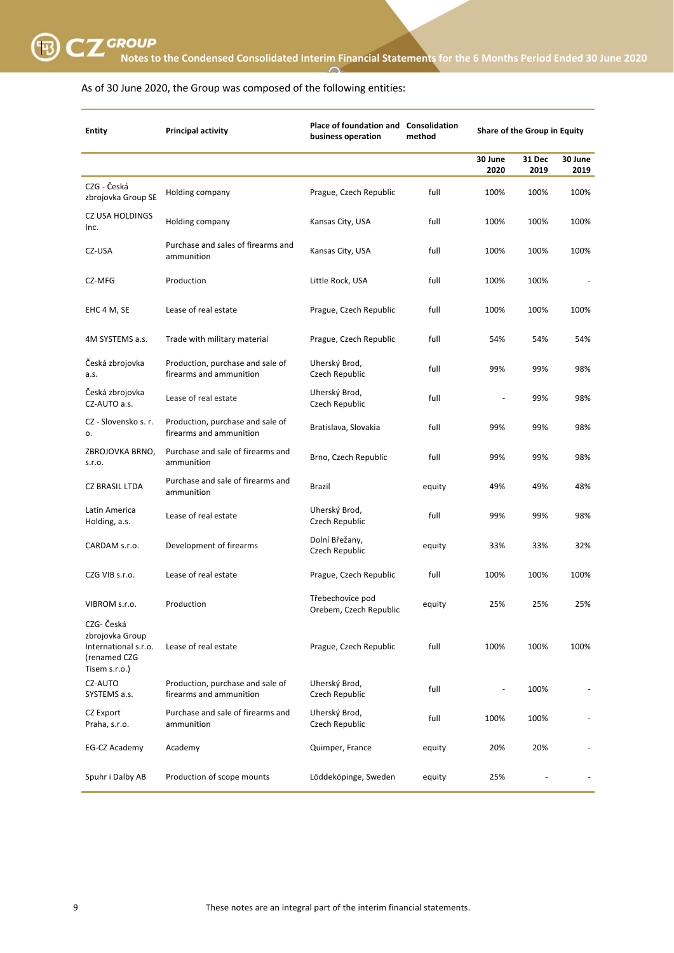

# As of 30 June 2020, the Group was composed of the following entities:

| <b>Entity</b>                                                                          | <b>Principal activity</b>                                   | Place of foundation and Consolidation<br>business operation | method |                 | Share of the Group in Equity |                 |
|----------------------------------------------------------------------------------------|-------------------------------------------------------------|-------------------------------------------------------------|--------|-----------------|------------------------------|-----------------|
|                                                                                        |                                                             |                                                             |        | 30 June<br>2020 | 31 Dec<br>2019               | 30 June<br>2019 |
| CZG - Česká<br>zbrojovka Group SE                                                      | Holding company                                             | Prague, Czech Republic                                      | full   | 100%            | 100%                         | 100%            |
| <b>CZ USA HOLDINGS</b><br>Inc.                                                         | Holding company                                             | Kansas City, USA                                            | full   | 100%            | 100%                         | 100%            |
| CZ-USA                                                                                 | Purchase and sales of firearms and<br>ammunition            | Kansas City, USA                                            | full   | 100%            | 100%                         | 100%            |
| CZ-MFG                                                                                 | Production                                                  | Little Rock, USA                                            | full   | 100%            | 100%                         |                 |
| EHC 4 M, SE                                                                            | Lease of real estate                                        | Prague, Czech Republic                                      | full   | 100%            | 100%                         | 100%            |
| 4M SYSTEMS a.s.                                                                        | Trade with military material                                | Prague, Czech Republic                                      | full   | 54%             | 54%                          | 54%             |
| Česká zbrojovka<br>a.s.                                                                | Production, purchase and sale of<br>firearms and ammunition | Uherský Brod,<br>Czech Republic                             | full   | 99%             | 99%                          | 98%             |
| Česká zbrojovka<br>CZ-AUTO a.s.                                                        | Lease of real estate                                        | Uherský Brod,<br>Czech Republic                             | full   |                 | 99%                          | 98%             |
| CZ - Slovensko s. r.<br>ο.                                                             | Production, purchase and sale of<br>firearms and ammunition | Bratislava, Slovakia                                        | full   | 99%             | 99%                          | 98%             |
| ZBROJOVKA BRNO,<br>S.r.o.                                                              | Purchase and sale of firearms and<br>ammunition             | Brno, Czech Republic                                        | full   | 99%             | 99%                          | 98%             |
| <b>CZ BRASIL LTDA</b>                                                                  | Purchase and sale of firearms and<br>ammunition             | Brazil                                                      | equity | 49%             | 49%                          | 48%             |
| Latin America<br>Holding, a.s.                                                         | Lease of real estate                                        | Uherský Brod,<br>Czech Republic                             | full   | 99%             | 99%                          | 98%             |
| CARDAM s.r.o.                                                                          | Development of firearms                                     | Dolní Břežany,<br>Czech Republic                            | equity | 33%             | 33%                          | 32%             |
| CZG VIB s.r.o.                                                                         | Lease of real estate                                        | Prague, Czech Republic                                      | full   | 100%            | 100%                         | 100%            |
| VIBROM s.r.o.                                                                          | Production                                                  | Třebechovice pod<br>Orebem, Czech Republic                  | equity | 25%             | 25%                          | 25%             |
| CZG- Česká<br>zbrojovka Group<br>International s.r.o.<br>(renamed CZG<br>Tisem s.r.o.) | Lease of real estate                                        | Prague, Czech Republic                                      | full   | 100%            | 100%                         | 100%            |
| CZ-AUTO<br>SYSTEMS a.s.                                                                | Production, purchase and sale of<br>firearms and ammunition | Uherský Brod,<br>Czech Republic                             | full   |                 | 100%                         |                 |
| CZ Export<br>Praha, s.r.o.                                                             | Purchase and sale of firearms and<br>ammunition             | Uherský Brod,<br>Czech Republic                             | full   | 100%            | 100%                         |                 |
| EG-CZ Academy                                                                          | Academy                                                     | Quimper, France                                             | equity | 20%             | 20%                          |                 |
| Spuhr i Dalby AB                                                                       | Production of scope mounts                                  | Löddeköpinge, Sweden                                        | equity | 25%             |                              |                 |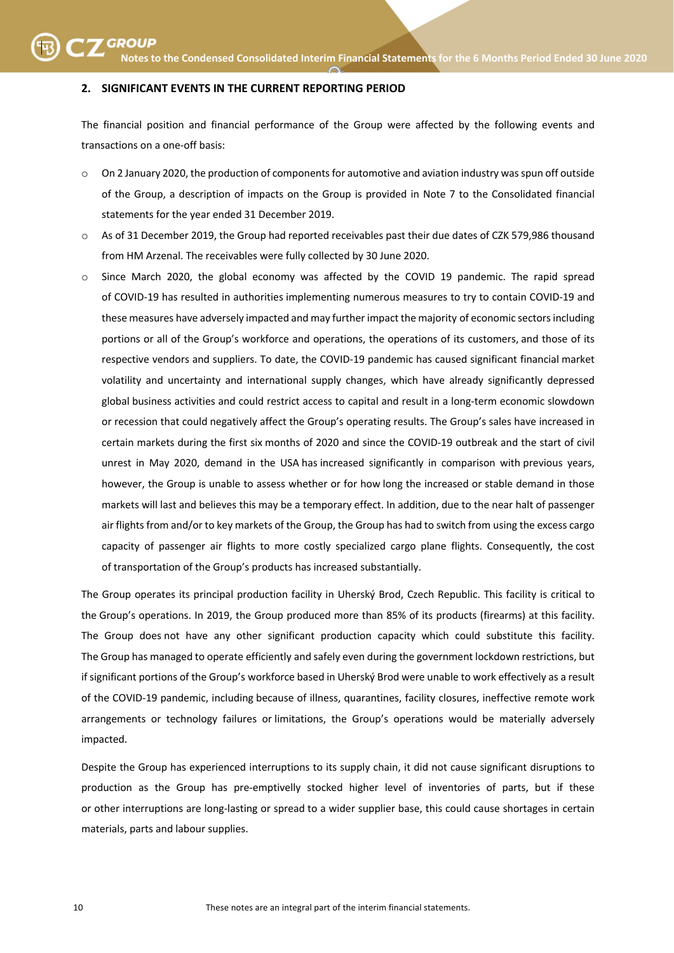#### **2. SIGNIFICANT EVENTS IN THE CURRENT REPORTING PERIOD**

The financial position and financial performance of the Group were affected by the following events and transactions on a one-off basis:

- o On 2 January 2020, the production of components for automotive and aviation industry was spun off outside of the Group, a description of impacts on the Group is provided in Note 7 to the Consolidated financial statements for the year ended 31 December 2019.
- o As of 31 December 2019, the Group had reported receivables past their due dates of CZK 579,986 thousand from HM Arzenal. The receivables were fully collected by 30 June 2020.
- $\circ$  Since March 2020, the global economy was affected by the COVID 19 pandemic. The rapid spread of COVID-19 has resulted in authorities implementing numerous measures to try to contain COVID-19 and these measures have adversely impacted and may further impact the majority of economic sectors including portions or all of the Group's workforce and operations, the operations of its customers, and those of its respective vendors and suppliers. To date, the COVID-19 pandemic has caused significant financial market volatility and uncertainty and international supply changes, which have already significantly depressed global business activities and could restrict access to capital and result in a long-term economic slowdown or recession that could negatively affect the Group's operating results. The Group's sales have increased in certain markets during the first six months of 2020 and since the COVID-19 outbreak and the start of civil unrest in May 2020, demand in the USA has increased significantly in comparison with previous years, however, the Group is unable to assess whether or for how long the increased or stable demand in those markets will last and believes this may be a temporary effect. In addition, due to the near halt of passenger air flights from and/or to key markets of the Group, the Group has had to switch from using the excess cargo capacity of passenger air flights to more costly specialized cargo plane flights. Consequently, the cost of transportation of the Group's products has increased substantially.

The Group operates its principal production facility in Uherský Brod, Czech Republic. This facility is critical to the Group's operations. In 2019, the Group produced more than 85% of its products (firearms) at this facility. The Group does not have any other significant production capacity which could substitute this facility. The Group has managed to operate efficiently and safely even during the government lockdown restrictions, but if significant portions of the Group's workforce based in Uherský Brod were unable to work effectively as a result of the COVID-19 pandemic, including because of illness, quarantines, facility closures, ineffective remote work arrangements or technology failures or limitations, the Group's operations would be materially adversely impacted.

Despite the Group has experienced interruptions to its supply chain, it did not cause significant disruptions to production as the Group has pre-emptivelly stocked higher level of inventories of parts, but if these or other interruptions are long-lasting or spread to a wider supplier base, this could cause shortages in certain materials, parts and labour supplies.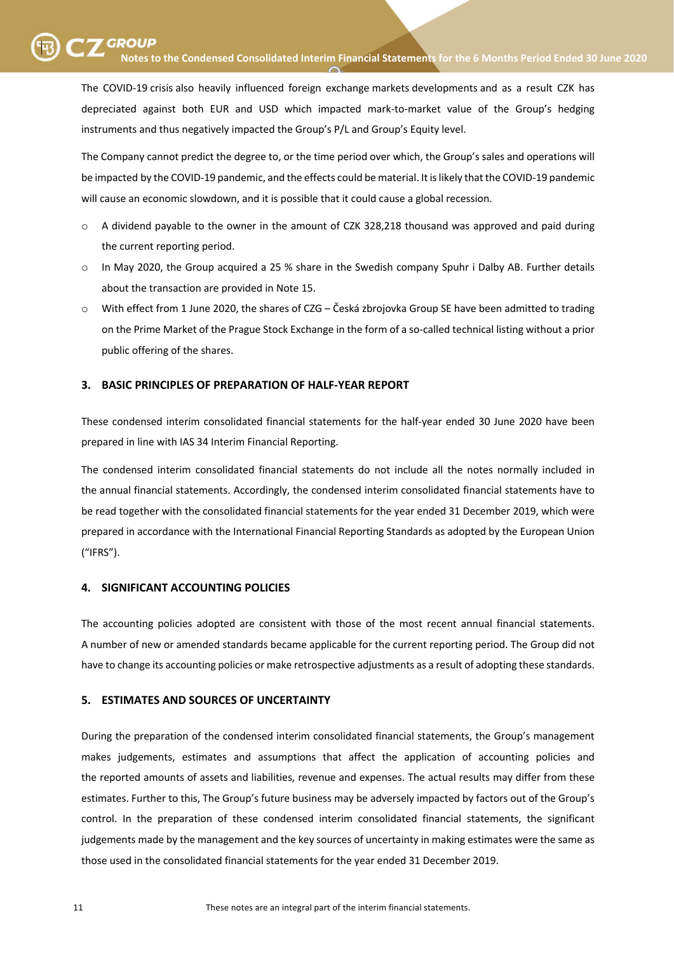SKUPINA SKUPINA **Notes to the Condensed Consolidated Interim Financial Statements for the 6 Months Period Ended 30 June <sup>2020</sup>**

The COVID-19 crisis also heavily influenced foreign exchange markets developments and as a result CZK has depreciated against both EUR and USD which impacted mark-to-market value of the Group's hedging instruments and thus negatively impacted the Group's P/L and Group's Equity level.

The Company cannot predict the degree to, or the time period over which, the Group's sales and operations will be impacted by the COVID-19 pandemic, and the effects could be material. It is likely that the COVID-19 pandemic will cause an economic slowdown, and it is possible that it could cause a global recession.

- o A dividend payable to the owner in the amount of CZK 328,218 thousand was approved and paid during the current reporting period.
- o In May 2020, the Group acquired a 25 % share in the Swedish company Spuhr i Dalby AB. Further details about the transaction are provided in Note 15.
- o With effect from 1 June 2020, the shares of CZG Česká zbrojovka Group SE have been admitted to trading on the Prime Market of the Prague Stock Exchange in the form of a so-called technical listing without a prior public offering of the shares.

# **3. BASIC PRINCIPLES OF PREPARATION OF HALF-YEAR REPORT**

These condensed interim consolidated financial statements for the half-year ended 30 June 2020 have been prepared in line with IAS 34 Interim Financial Reporting.

The condensed interim consolidated financial statements do not include all the notes normally included in the annual financial statements. Accordingly, the condensed interim consolidated financial statements have to be read together with the consolidated financial statements for the year ended 31 December 2019, which were prepared in accordance with the International Financial Reporting Standards as adopted by the European Union ("IFRS").

### **4. SIGNIFICANT ACCOUNTING POLICIES**

The accounting policies adopted are consistent with those of the most recent annual financial statements. A number of new or amended standards became applicable for the current reporting period. The Group did not have to change its accounting policies or make retrospective adjustments as a result of adopting these standards.

# **5. ESTIMATES AND SOURCES OF UNCERTAINTY**

During the preparation of the condensed interim consolidated financial statements, the Group's management makes judgements, estimates and assumptions that affect the application of accounting policies and the reported amounts of assets and liabilities, revenue and expenses. The actual results may differ from these estimates. Further to this, The Group's future business may be adversely impacted by factors out of the Group's control. In the preparation of these condensed interim consolidated financial statements, the significant judgements made by the management and the key sources of uncertainty in making estimates were the same as those used in the consolidated financial statements for the year ended 31 December 2019.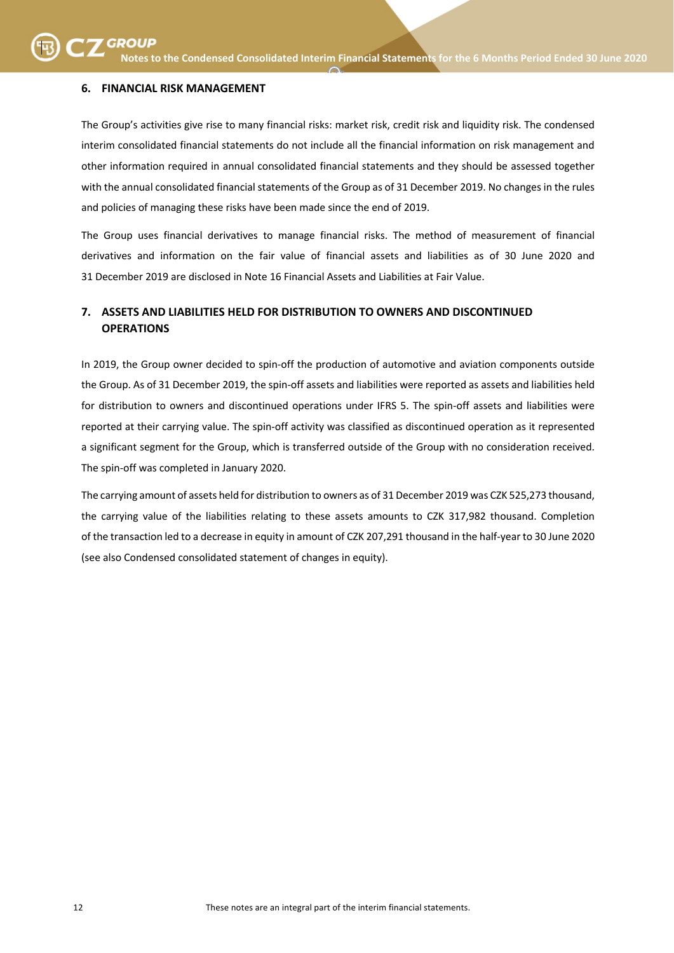# **6. FINANCIAL RISK MANAGEMENT**

The Group's activities give rise to many financial risks: market risk, credit risk and liquidity risk. The condensed interim consolidated financial statements do not include all the financial information on risk management and other information required in annual consolidated financial statements and they should be assessed together with the annual consolidated financial statements of the Group as of 31 December 2019. No changes in the rules and policies of managing these risks have been made since the end of 2019.

The Group uses financial derivatives to manage financial risks. The method of measurement of financial derivatives and information on the fair value of financial assets and liabilities as of 30 June 2020 and 31 December 2019 are disclosed in Note 16 Financial Assets and Liabilities at Fair Value.

# **7. ASSETS AND LIABILITIES HELD FOR DISTRIBUTION TO OWNERS AND DISCONTINUED OPERATIONS**

In 2019, the Group owner decided to spin-off the production of automotive and aviation components outside the Group. As of 31 December 2019, the spin-off assets and liabilities were reported as assets and liabilities held for distribution to owners and discontinued operations under IFRS 5. The spin-off assets and liabilities were reported at their carrying value. The spin-off activity was classified as discontinued operation as it represented a significant segment for the Group, which is transferred outside of the Group with no consideration received. The spin-off was completed in January 2020.

The carrying amount of assets held for distribution to owners as of 31 December 2019 was CZK 525,273 thousand, the carrying value of the liabilities relating to these assets amounts to CZK 317,982 thousand. Completion of the transaction led to a decrease in equity in amount of CZK 207,291 thousand in the half-year to 30 June 2020 (see also Condensed consolidated statement of changes in equity).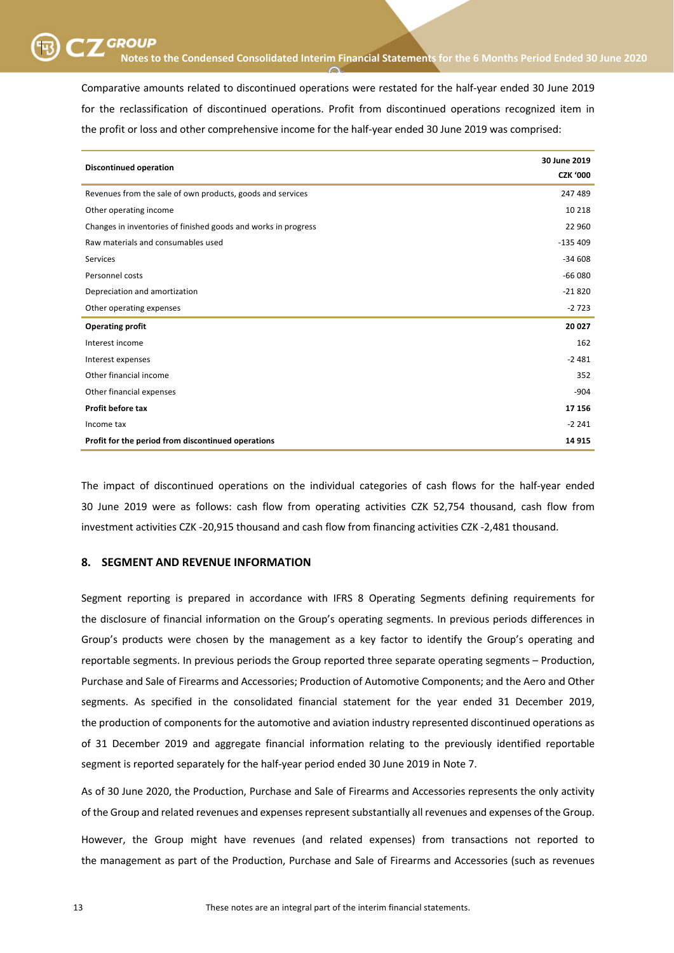SKUPINA SKUPINA **Notes to the Condensed Consolidated Interim Financial Statements for the 6 Months Period Ended 30 June <sup>2020</sup>**

Comparative amounts related to discontinued operations were restated for the half-year ended 30 June 2019 for the reclassification of discontinued operations. Profit from discontinued operations recognized item in the profit or loss and other comprehensive income for the half-year ended 30 June 2019 was comprised:

| <b>Discontinued operation</b>                                  | 30 June 2019<br><b>CZK '000</b> |
|----------------------------------------------------------------|---------------------------------|
| Revenues from the sale of own products, goods and services     | 247 489                         |
| Other operating income                                         | 10 218                          |
| Changes in inventories of finished goods and works in progress | 22 960                          |
| Raw materials and consumables used                             | $-135409$                       |
| Services                                                       | $-34608$                        |
| Personnel costs                                                | $-66080$                        |
| Depreciation and amortization                                  | $-21820$                        |
| Other operating expenses                                       | $-2723$                         |
| <b>Operating profit</b>                                        | 20 027                          |
| Interest income                                                | 162                             |
| Interest expenses                                              | $-2481$                         |
| Other financial income                                         | 352                             |
| Other financial expenses                                       | $-904$                          |
| Profit before tax                                              | 17 15 6                         |
| Income tax                                                     | $-2241$                         |
| Profit for the period from discontinued operations             | 14 9 15                         |

The impact of discontinued operations on the individual categories of cash flows for the half-year ended 30 June 2019 were as follows: cash flow from operating activities CZK 52,754 thousand, cash flow from investment activities CZK -20,915 thousand and cash flow from financing activities CZK -2,481 thousand.

### **8. SEGMENT AND REVENUE INFORMATION**

Segment reporting is prepared in accordance with IFRS 8 Operating Segments defining requirements for the disclosure of financial information on the Group's operating segments. In previous periods differences in Group's products were chosen by the management as a key factor to identify the Group's operating and reportable segments. In previous periods the Group reported three separate operating segments – Production, Purchase and Sale of Firearms and Accessories; Production of Automotive Components; and the Aero and Other segments. As specified in the consolidated financial statement for the year ended 31 December 2019, the production of components for the automotive and aviation industry represented discontinued operations as of 31 December 2019 and aggregate financial information relating to the previously identified reportable segment is reported separately for the half-year period ended 30 June 2019 in Note 7.

As of 30 June 2020, the Production, Purchase and Sale of Firearms and Accessories represents the only activity of the Group and related revenues and expenses represent substantially all revenues and expenses of the Group.

However, the Group might have revenues (and related expenses) from transactions not reported to the management as part of the Production, Purchase and Sale of Firearms and Accessories (such as revenues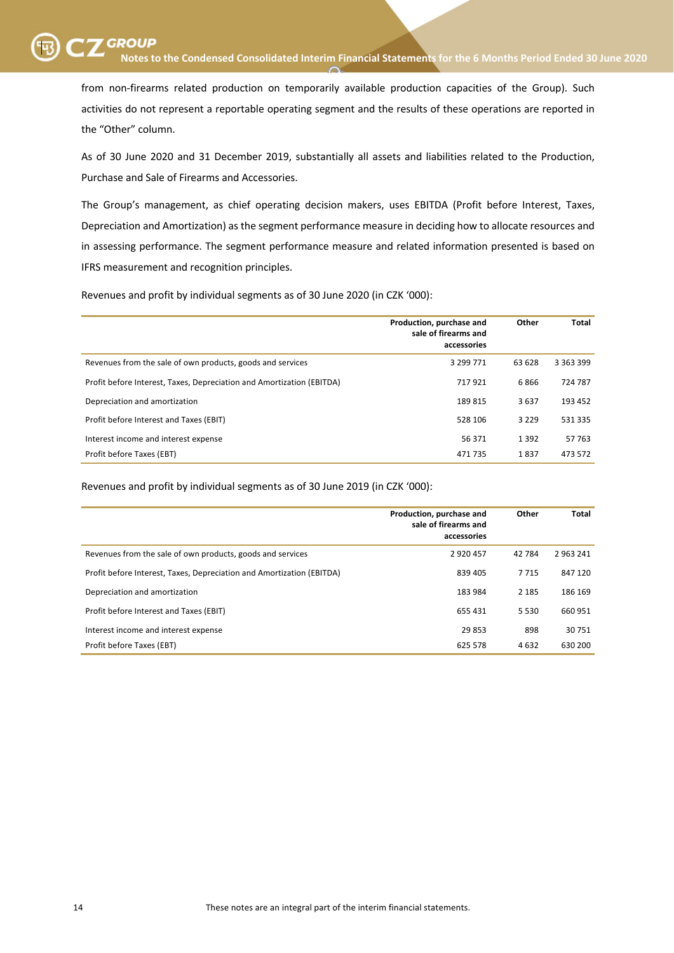from non-firearms related production on temporarily available production capacities of the Group). Such activities do not represent a reportable operating segment and the results of these operations are reported in the "Other" column.

As of 30 June 2020 and 31 December 2019, substantially all assets and liabilities related to the Production, Purchase and Sale of Firearms and Accessories.

The Group's management, as chief operating decision makers, uses EBITDA (Profit before Interest, Taxes, Depreciation and Amortization) as the segment performance measure in deciding how to allocate resources and in assessing performance. The segment performance measure and related information presented is based on IFRS measurement and recognition principles.

Revenues and profit by individual segments as of 30 June 2020 (in CZK '000):

|                                                                       | Production, purchase and<br>sale of firearms and<br>accessories | Other   | <b>Total</b>  |
|-----------------------------------------------------------------------|-----------------------------------------------------------------|---------|---------------|
| Revenues from the sale of own products, goods and services            | 3 299 771                                                       | 63 628  | 3 3 6 3 3 9 9 |
| Profit before Interest, Taxes, Depreciation and Amortization (EBITDA) | 717921                                                          | 6866    | 724 787       |
| Depreciation and amortization                                         | 189815                                                          | 3637    | 193 452       |
| Profit before Interest and Taxes (EBIT)                               | 528 106                                                         | 3 2 2 9 | 531 335       |
| Interest income and interest expense                                  | 56 371                                                          | 1 3 9 2 | 57 763        |
| Profit before Taxes (EBT)                                             | 471 735                                                         | 1837    | 473 572       |

Revenues and profit by individual segments as of 30 June 2019 (in CZK '000):

|                                                                       | Production, purchase and<br>sale of firearms and<br>accessories | Other   | Total   |
|-----------------------------------------------------------------------|-----------------------------------------------------------------|---------|---------|
| Revenues from the sale of own products, goods and services            | 2920457                                                         | 42 7 84 | 2963241 |
| Profit before Interest, Taxes, Depreciation and Amortization (EBITDA) | 839 405                                                         | 7 7 1 5 | 847 120 |
| Depreciation and amortization                                         | 183 984                                                         | 2 1 8 5 | 186 169 |
| Profit before Interest and Taxes (EBIT)                               | 655 431                                                         | 5 5 3 0 | 660 951 |
| Interest income and interest expense                                  | 29853                                                           | 898     | 30751   |
| Profit before Taxes (EBT)                                             | 625 578                                                         | 4632    | 630 200 |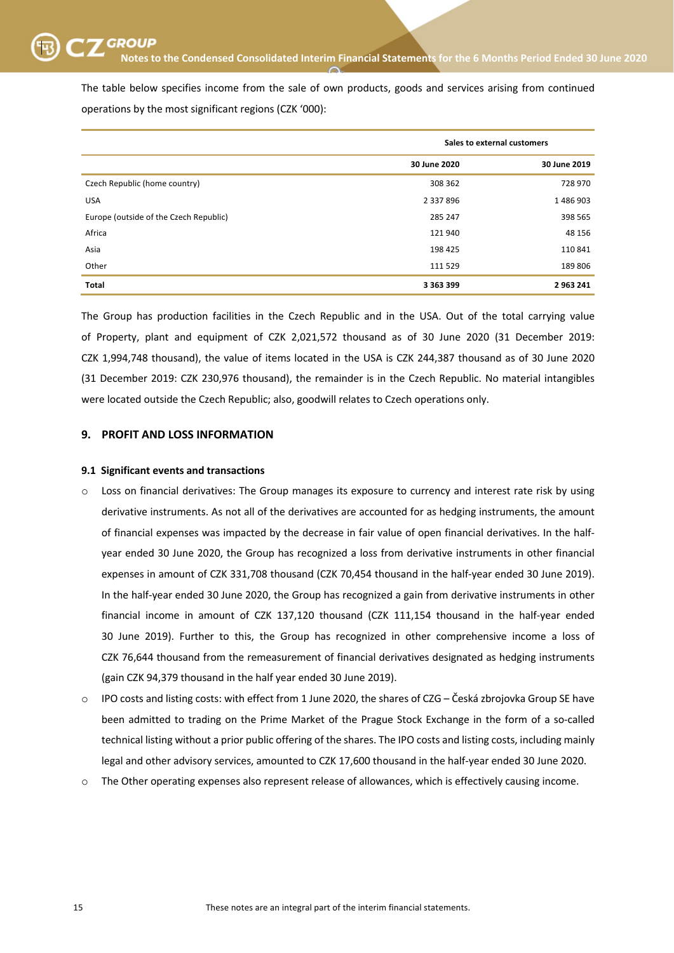The table below specifies income from the sale of own products, goods and services arising from continued operations by the most significant regions (CZK '000):

|                                        | Sales to external customers |              |  |
|----------------------------------------|-----------------------------|--------------|--|
|                                        | 30 June 2020                | 30 June 2019 |  |
| Czech Republic (home country)          | 308 362                     | 728 970      |  |
| <b>USA</b>                             | 2 3 3 7 8 9 6               | 1486903      |  |
| Europe (outside of the Czech Republic) | 285 247                     | 398 565      |  |
| Africa                                 | 121940                      | 48 156       |  |
| Asia                                   | 198 425                     | 110 841      |  |
| Other                                  | 111 529                     | 189 806      |  |
| <b>Total</b>                           | 3 3 6 3 3 9 9               | 2 963 241    |  |

The Group has production facilities in the Czech Republic and in the USA. Out of the total carrying value of Property, plant and equipment of CZK 2,021,572 thousand as of 30 June 2020 (31 December 2019: CZK 1,994,748 thousand), the value of items located in the USA is CZK 244,387 thousand as of 30 June 2020 (31 December 2019: CZK 230,976 thousand), the remainder is in the Czech Republic. No material intangibles were located outside the Czech Republic; also, goodwill relates to Czech operations only.

# **9. PROFIT AND LOSS INFORMATION**

### **9.1 Significant events and transactions**

- Loss on financial derivatives: The Group manages its exposure to currency and interest rate risk by using derivative instruments. As not all of the derivatives are accounted for as hedging instruments, the amount of financial expenses was impacted by the decrease in fair value of open financial derivatives. In the halfyear ended 30 June 2020, the Group has recognized a loss from derivative instruments in other financial expenses in amount of CZK 331,708 thousand (CZK 70,454 thousand in the half-year ended 30 June 2019). In the half-year ended 30 June 2020, the Group has recognized a gain from derivative instruments in other financial income in amount of CZK 137,120 thousand (CZK 111,154 thousand in the half-year ended 30 June 2019). Further to this, the Group has recognized in other comprehensive income a loss of CZK 76,644 thousand from the remeasurement of financial derivatives designated as hedging instruments (gain CZK 94,379 thousand in the half year ended 30 June 2019).
- IPO costs and listing costs: with effect from 1 June 2020, the shares of CZG Česká zbrojovka Group SE have been admitted to trading on the Prime Market of the Prague Stock Exchange in the form of a so-called technical listing without a prior public offering of the shares. The IPO costs and listing costs, including mainly legal and other advisory services, amounted to CZK 17,600 thousand in the half-year ended 30 June 2020.
- o The Other operating expenses also represent release of allowances, which is effectively causing income.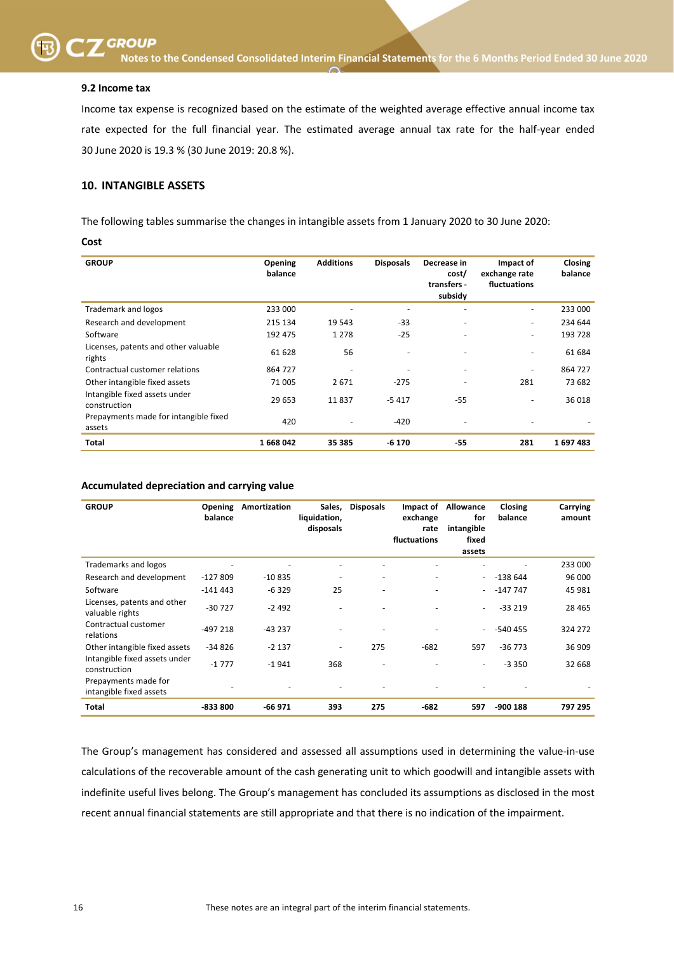

SKUPINA SKUPINA **Notes to the Condensed Consolidated Interim Financial Statements for the 6 Months Period Ended 30 June <sup>2020</sup>**

#### **9.2 Income tax**

Income tax expense is recognized based on the estimate of the weighted average effective annual income tax rate expected for the full financial year. The estimated average annual tax rate for the half-year ended 30 June 2020 is 19.3 % (30 June 2019: 20.8 %).

# **10. INTANGIBLE ASSETS**

The following tables summarise the changes in intangible assets from 1 January 2020 to 30 June 2020:

#### **Cost**

| <b>GROUP</b>                                    | <b>Opening</b><br>balance | <b>Additions</b>         | <b>Disposals</b> | Decrease in<br>cost/<br>transfers -<br>subsidy | Impact of<br>exchange rate<br>fluctuations | Closing<br>balance |
|-------------------------------------------------|---------------------------|--------------------------|------------------|------------------------------------------------|--------------------------------------------|--------------------|
| <b>Trademark and logos</b>                      | 233 000                   |                          |                  |                                                | ٠                                          | 233 000            |
| Research and development                        | 215 134                   | 19 543                   | $-33$            | -                                              | ۰                                          | 234 644            |
| Software                                        | 192 475                   | 1 2 7 8                  | $-25$            |                                                | $\overline{\phantom{a}}$                   | 193 728            |
| Licenses, patents and other valuable<br>rights  | 61 628                    | 56                       | ٠                |                                                | ۰                                          | 61 684             |
| Contractual customer relations                  | 864 727                   | $\overline{\phantom{a}}$ |                  |                                                | $\overline{\phantom{a}}$                   | 864 727            |
| Other intangible fixed assets                   | 71 005                    | 2671                     | $-275$           | -                                              | 281                                        | 73 682             |
| Intangible fixed assets under<br>construction   | 29 653                    | 11837                    | $-5417$          | $-55$                                          | ٠                                          | 36 018             |
| Prepayments made for intangible fixed<br>assets | 420                       |                          | -420             |                                                |                                            |                    |
| Total                                           | 1668042                   | 35 385                   | $-6170$          | $-55$                                          | 281                                        | 1697483            |

#### **Accumulated depreciation and carrying value**

| <b>GROUP</b>                                    | Opening<br>balance | Amortization | Sales,<br>liquidation,<br>disposals | <b>Disposals</b>             | Impact of<br>exchange<br>rate<br>fluctuations | Allowance<br>for<br>intangible<br>fixed<br>assets | Closing<br>balance | Carrying<br>amount |
|-------------------------------------------------|--------------------|--------------|-------------------------------------|------------------------------|-----------------------------------------------|---------------------------------------------------|--------------------|--------------------|
| Trademarks and logos                            |                    |              |                                     |                              |                                               |                                                   |                    | 233 000            |
| Research and development                        | -127 809           | $-10835$     | ۰                                   | $\overline{\phantom{0}}$     | -                                             | $\blacksquare$                                    | $-138644$          | 96 000             |
| Software                                        | $-141443$          | $-6329$      | 25                                  |                              |                                               | $\qquad \qquad \blacksquare$                      | $-147747$          | 45 981             |
| Licenses, patents and other<br>valuable rights  | $-30727$           | $-2492$      |                                     |                              |                                               | $\overline{\phantom{a}}$                          | $-33219$           | 28 4 65            |
| Contractual customer<br>relations               | $-497218$          | $-43237$     |                                     |                              |                                               | $\overline{\phantom{a}}$                          | $-540455$          | 324 272            |
| Other intangible fixed assets                   | $-34826$           | $-2137$      | -                                   | 275                          | $-682$                                        | 597                                               | $-36773$           | 36 909             |
| Intangible fixed assets under<br>construction   | $-1777$            | $-1941$      | 368                                 | $\qquad \qquad \blacksquare$ |                                               | $\overline{\phantom{a}}$                          | $-3350$            | 32 668             |
| Prepayments made for<br>intangible fixed assets |                    |              |                                     |                              |                                               |                                                   |                    |                    |
| <b>Total</b>                                    | -833 800           | $-66971$     | 393                                 | 275                          | $-682$                                        | 597                                               | $-900$ 188         | 797 295            |

The Group's management has considered and assessed all assumptions used in determining the value-in-use calculations of the recoverable amount of the cash generating unit to which goodwill and intangible assets with indefinite useful lives belong. The Group's management has concluded its assumptions as disclosed in the most recent annual financial statements are still appropriate and that there is no indication of the impairment.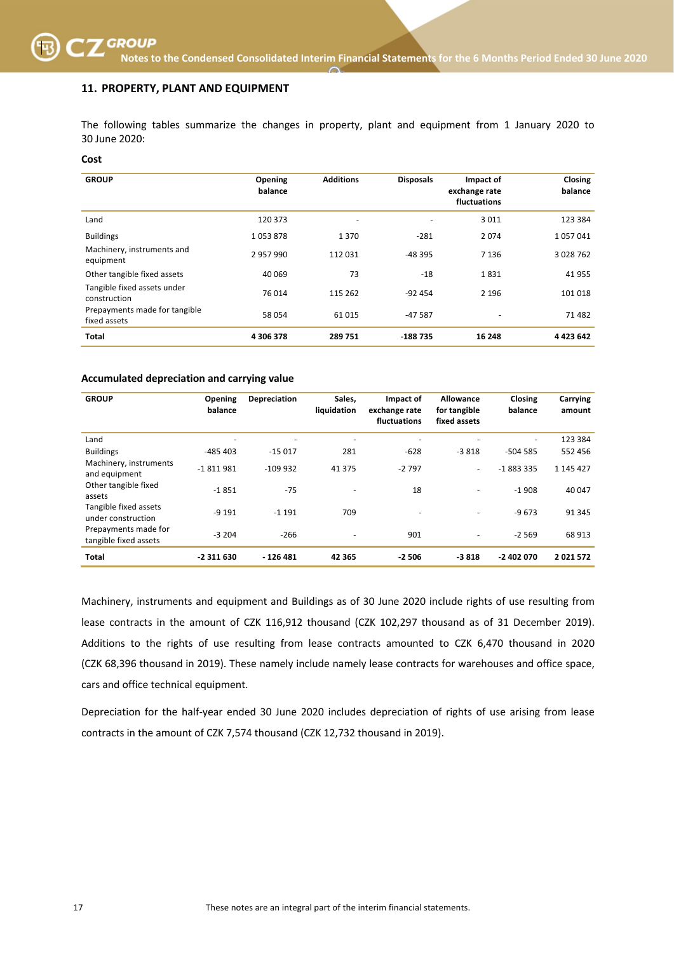# **11. PROPERTY, PLANT AND EQUIPMENT**

The following tables summarize the changes in property, plant and equipment from 1 January 2020 to 30 June 2020:

#### **Cost**

| <b>GROUP</b>                                  | Opening<br>balance | <b>Additions</b> | <b>Disposals</b> | Impact of<br>exchange rate<br>fluctuations | Closing<br>balance |
|-----------------------------------------------|--------------------|------------------|------------------|--------------------------------------------|--------------------|
| Land                                          | 120 373            | ٠                | $\overline{a}$   | 3011                                       | 123 384            |
| <b>Buildings</b>                              | 1053878            | 1370             | $-281$           | 2074                                       | 1057041            |
| Machinery, instruments and<br>equipment       | 2957990            | 112031           | $-48.395$        | 7 1 3 6                                    | 3 028 762          |
| Other tangible fixed assets                   | 40 069             | 73               | $-18$            | 1831                                       | 41955              |
| Tangible fixed assets under<br>construction   | 76 014             | 115 262          | $-92454$         | 2 1 9 6                                    | 101 018            |
| Prepayments made for tangible<br>fixed assets | 58 054             | 61015            | $-47587$         |                                            | 71482              |
| <b>Total</b>                                  | 4 306 378          | 289751           | $-188735$        | 16 248                                     | 4 4 2 3 6 4 2      |

#### **Accumulated depreciation and carrying value**

| <b>GROUP</b>                                  | Opening<br>balance       | Depreciation | Sales.<br>liquidation    | Impact of<br>exchange rate<br>fluctuations | Allowance<br>for tangible<br>fixed assets | Closing<br>balance       | Carrying<br>amount |
|-----------------------------------------------|--------------------------|--------------|--------------------------|--------------------------------------------|-------------------------------------------|--------------------------|--------------------|
| Land                                          | $\overline{\phantom{0}}$ | ۰            | $\overline{\phantom{0}}$ |                                            |                                           | $\overline{\phantom{a}}$ | 123 384            |
| <b>Buildings</b>                              | $-485403$                | $-15017$     | 281                      | $-628$                                     | $-3818$                                   | $-504585$                | 552 456            |
| Machinery, instruments<br>and equipment       | $-1811981$               | $-109932$    | 41 375                   | $-2797$                                    | $\sim$                                    | $-1883335$               | 1 145 427          |
| Other tangible fixed<br>assets                | $-1851$                  | $-75$        |                          | 18                                         | $\overline{\phantom{0}}$                  | $-1908$                  | 40 047             |
| Tangible fixed assets<br>under construction   | $-9191$                  | $-1191$      | 709                      | $\overline{\phantom{a}}$                   |                                           | $-9673$                  | 91 345             |
| Prepayments made for<br>tangible fixed assets | $-3204$                  | $-266$       | $\overline{\phantom{a}}$ | 901                                        | $\overline{\phantom{a}}$                  | $-2569$                  | 68 913             |
| <b>Total</b>                                  | -2 311 630               | - 126 481    | 42 3 65                  | $-2506$                                    | $-3818$                                   | $-2402070$               | 2021572            |

Machinery, instruments and equipment and Buildings as of 30 June 2020 include rights of use resulting from lease contracts in the amount of CZK 116,912 thousand (CZK 102,297 thousand as of 31 December 2019). Additions to the rights of use resulting from lease contracts amounted to CZK 6,470 thousand in 2020 (CZK 68,396 thousand in 2019). These namely include namely lease contracts for warehouses and office space, cars and office technical equipment.

Depreciation for the half-year ended 30 June 2020 includes depreciation of rights of use arising from lease contracts in the amount of CZK 7,574 thousand (CZK 12,732 thousand in 2019).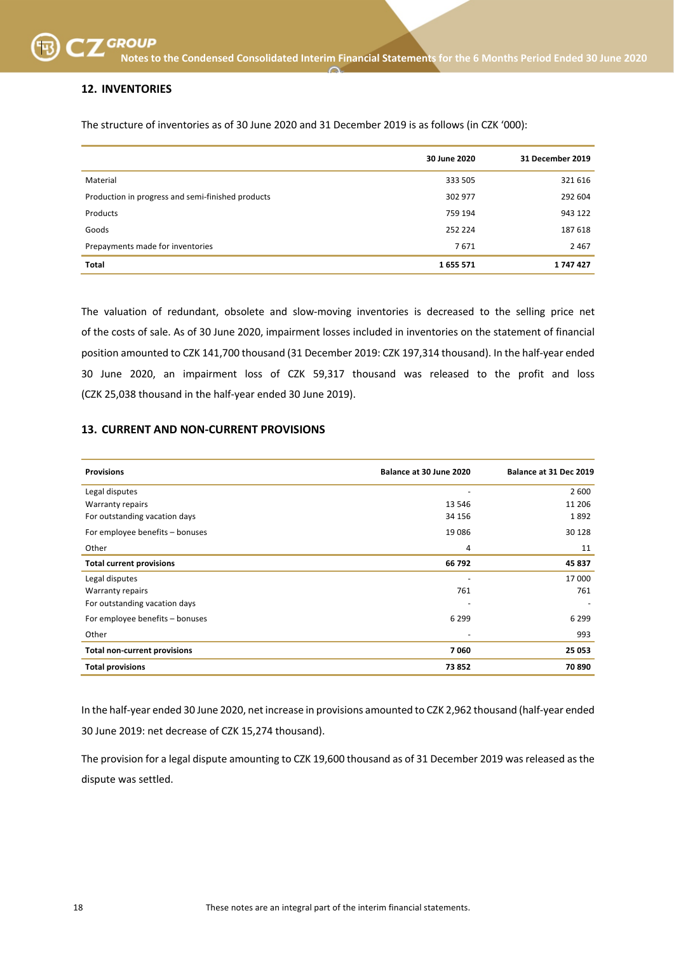# **12. INVENTORIES**

The structure of inventories as of 30 June 2020 and 31 December 2019 is as follows (in CZK '000):

|                                                   | 30 June 2020 | 31 December 2019 |
|---------------------------------------------------|--------------|------------------|
| Material                                          | 333 505      | 321 616          |
| Production in progress and semi-finished products | 302 977      | 292 604          |
| Products                                          | 759 194      | 943 122          |
| Goods                                             | 252 224      | 187 618          |
| Prepayments made for inventories                  | 7671         | 2 4 6 7          |
| <b>Total</b>                                      | 1655571      | 1747427          |

The valuation of redundant, obsolete and slow-moving inventories is decreased to the selling price net of the costs of sale. As of 30 June 2020, impairment losses included in inventories on the statement of financial position amounted to CZK 141,700 thousand (31 December 2019: CZK 197,314 thousand). In the half-year ended 30 June 2020, an impairment loss of CZK 59,317 thousand was released to the profit and loss (CZK 25,038 thousand in the half-year ended 30 June 2019).

### **13. CURRENT AND NON-CURRENT PROVISIONS**

| <b>Provisions</b>                   | Balance at 30 June 2020  | Balance at 31 Dec 2019 |
|-------------------------------------|--------------------------|------------------------|
| Legal disputes                      |                          | 2 600                  |
| <b>Warranty repairs</b>             | 13 5 46                  | 11 206                 |
| For outstanding vacation days       | 34 156                   | 1892                   |
| For employee benefits - bonuses     | 19 0 86                  | 30 1 28                |
| Other                               | 4                        | 11                     |
| <b>Total current provisions</b>     | 66 792                   | 45 837                 |
| Legal disputes                      |                          | 17 000                 |
| <b>Warranty repairs</b>             | 761                      | 761                    |
| For outstanding vacation days       |                          |                        |
| For employee benefits - bonuses     | 6 2 9 9                  | 6 2 9 9                |
| Other                               | $\overline{\phantom{a}}$ | 993                    |
| <b>Total non-current provisions</b> | 7060                     | 25 053                 |
| <b>Total provisions</b>             | 73852                    | 70 890                 |

In the half-year ended 30 June 2020, net increase in provisions amounted to CZK 2,962 thousand (half-year ended 30 June 2019: net decrease of CZK 15,274 thousand).

The provision for a legal dispute amounting to CZK 19,600 thousand as of 31 December 2019 was released as the dispute was settled.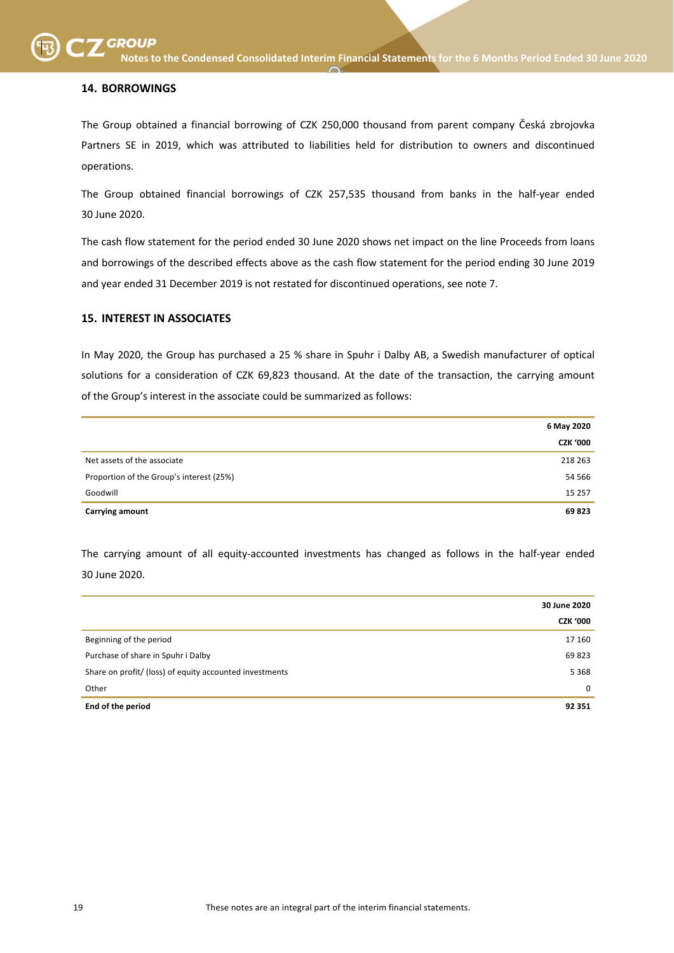# **14. BORROWINGS**

The Group obtained a financial borrowing of CZK 250,000 thousand from parent company Česká zbrojovka Partners SE in 2019, which was attributed to liabilities held for distribution to owners and discontinued operations.

The Group obtained financial borrowings of CZK 257,535 thousand from banks in the half-year ended 30 June 2020.

The cash flow statement for the period ended 30 June 2020 shows net impact on the line Proceeds from loans and borrowings of the described effects above as the cash flow statement for the period ending 30 June 2019 and year ended 31 December 2019 is not restated for discontinued operations, see note 7.

# **15. INTEREST IN ASSOCIATES**

In May 2020, the Group has purchased a 25 % share in Spuhr i Dalby AB, a Swedish manufacturer of optical solutions for a consideration of CZK 69,823 thousand. At the date of the transaction, the carrying amount of the Group's interest in the associate could be summarized as follows:

|                                          | 6 May 2020      |
|------------------------------------------|-----------------|
|                                          | <b>CZK '000</b> |
| Net assets of the associate              | 218 263         |
| Proportion of the Group's interest (25%) | 54 566          |
| Goodwill                                 | 15 257          |
| <b>Carrying amount</b>                   | 69823           |

The carrying amount of all equity-accounted investments has changed as follows in the half-year ended 30 June 2020.

|                                                         | 30 June 2020    |
|---------------------------------------------------------|-----------------|
|                                                         | <b>CZK '000</b> |
| Beginning of the period                                 | 17 160          |
| Purchase of share in Spuhr i Dalby                      | 69823           |
| Share on profit/ (loss) of equity accounted investments | 5 3 6 8         |
| Other                                                   | $\Omega$        |
| End of the period                                       | 92 351          |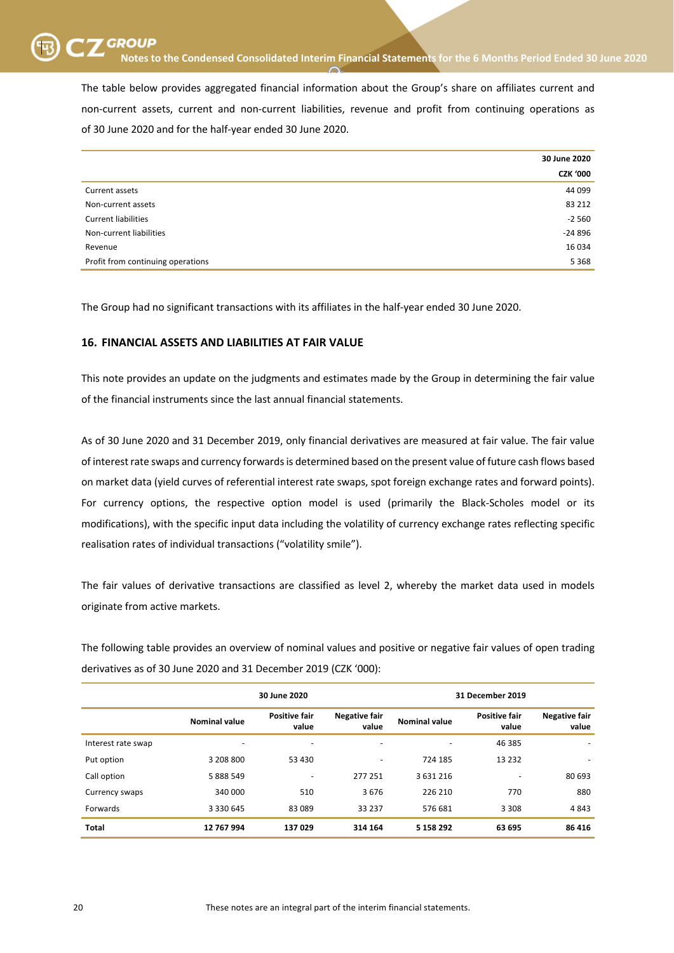The table below provides aggregated financial information about the Group's share on affiliates current and non-current assets, current and non-current liabilities, revenue and profit from continuing operations as of 30 June 2020 and for the half-year ended 30 June 2020.

|                                   | 30 June 2020    |
|-----------------------------------|-----------------|
|                                   | <b>CZK '000</b> |
| Current assets                    | 44 099          |
| Non-current assets                | 83 212          |
| <b>Current liabilities</b>        | $-2560$         |
| Non-current liabilities           | $-24896$        |
| Revenue                           | 16 034          |
| Profit from continuing operations | 5 3 6 8         |

The Group had no significant transactions with its affiliates in the half-year ended 30 June 2020.

# **16. FINANCIAL ASSETS AND LIABILITIES AT FAIR VALUE**

This note provides an update on the judgments and estimates made by the Group in determining the fair value of the financial instruments since the last annual financial statements.

As of 30 June 2020 and 31 December 2019, only financial derivatives are measured at fair value. The fair value of interest rate swaps and currency forwards is determined based on the present value of future cash flows based on market data (yield curves of referential interest rate swaps, spot foreign exchange rates and forward points). For currency options, the respective option model is used (primarily the Black-Scholes model or its modifications), with the specific input data including the volatility of currency exchange rates reflecting specific realisation rates of individual transactions ("volatility smile").

The fair values of derivative transactions are classified as level 2, whereby the market data used in models originate from active markets.

The following table provides an overview of nominal values and positive or negative fair values of open trading derivatives as of 30 June 2020 and 31 December 2019 (CZK '000):

|                    | 30 June 2020             |                               |                               |                      | 31 December 2019              |                               |
|--------------------|--------------------------|-------------------------------|-------------------------------|----------------------|-------------------------------|-------------------------------|
|                    | <b>Nominal value</b>     | <b>Positive fair</b><br>value | <b>Negative fair</b><br>value | <b>Nominal value</b> | <b>Positive fair</b><br>value | <b>Negative fair</b><br>value |
| Interest rate swap | $\overline{\phantom{0}}$ | $\overline{\phantom{a}}$      |                               |                      | 46 385                        |                               |
| Put option         | 3 208 800                | 53 430                        | ٠                             | 724 185              | 13 2 3 2                      | $\overline{\phantom{0}}$      |
| Call option        | 5 888 549                | $\overline{\phantom{a}}$      | 277 251                       | 3631216              |                               | 80 693                        |
| Currency swaps     | 340 000                  | 510                           | 3676                          | 226 210              | 770                           | 880                           |
| Forwards           | 3 3 3 0 6 4 5            | 83 089                        | 33 237                        | 576 681              | 3 3 0 8                       | 4843                          |
| <b>Total</b>       | 12 767 994               | 137029                        | 314 164                       | 5 158 292            | 63 695                        | 86 416                        |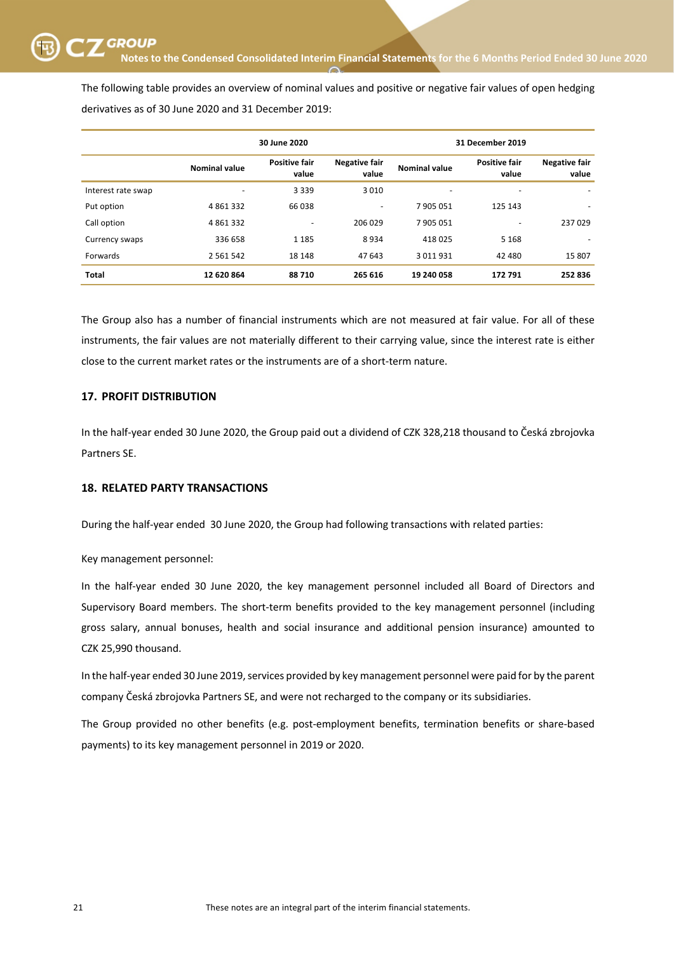SKUPINA SKUPINA **Notes to the Condensed Consolidated Interim Financial Statements for the 6 Months Period Ended 30 June <sup>2020</sup>**

The following table provides an overview of nominal values and positive or negative fair values of open hedging derivatives as of 30 June 2020 and 31 December 2019:

|                    | 30 June 2020         |                               |                               |                      | 31 December 2019              |                               |
|--------------------|----------------------|-------------------------------|-------------------------------|----------------------|-------------------------------|-------------------------------|
|                    | <b>Nominal value</b> | <b>Positive fair</b><br>value | <b>Negative fair</b><br>value | <b>Nominal value</b> | <b>Positive fair</b><br>value | <b>Negative fair</b><br>value |
| Interest rate swap | ٠                    | 3 3 3 9                       | 3010                          | -                    | -                             |                               |
| Put option         | 4861332              | 66 038                        | ٠                             | 7905051              | 125 143                       |                               |
| Call option        | 4 8 6 1 3 3 2        | $\overline{\phantom{a}}$      | 206 029                       | 7 905 051            |                               | 237029                        |
| Currency swaps     | 336 658              | 1 1 8 5                       | 8934                          | 418025               | 5 1 6 8                       |                               |
| Forwards           | 2 5 6 1 5 4 2        | 18 148                        | 47 643                        | 3 0 1 9 9 3 1        | 42 480                        | 15807                         |
| <b>Total</b>       | 12 620 864           | 88710                         | 265 616                       | 19 240 058           | 172 791                       | 252836                        |

The Group also has a number of financial instruments which are not measured at fair value. For all of these instruments, the fair values are not materially different to their carrying value, since the interest rate is either close to the current market rates or the instruments are of a short-term nature.

# **17. PROFIT DISTRIBUTION**

In the half-year ended 30 June 2020, the Group paid out a dividend of CZK 328,218 thousand to Česká zbrojovka Partners SE.

### **18. RELATED PARTY TRANSACTIONS**

During the half-year ended 30 June 2020, the Group had following transactions with related parties:

Key management personnel:

In the half-year ended 30 June 2020, the key management personnel included all Board of Directors and Supervisory Board members. The short-term benefits provided to the key management personnel (including gross salary, annual bonuses, health and social insurance and additional pension insurance) amounted to CZK 25,990 thousand.

In the half-year ended 30 June 2019, services provided by key management personnel were paid for by the parent company Česká zbrojovka Partners SE, and were not recharged to the company or its subsidiaries.

The Group provided no other benefits (e.g. post-employment benefits, termination benefits or share-based payments) to its key management personnel in 2019 or 2020.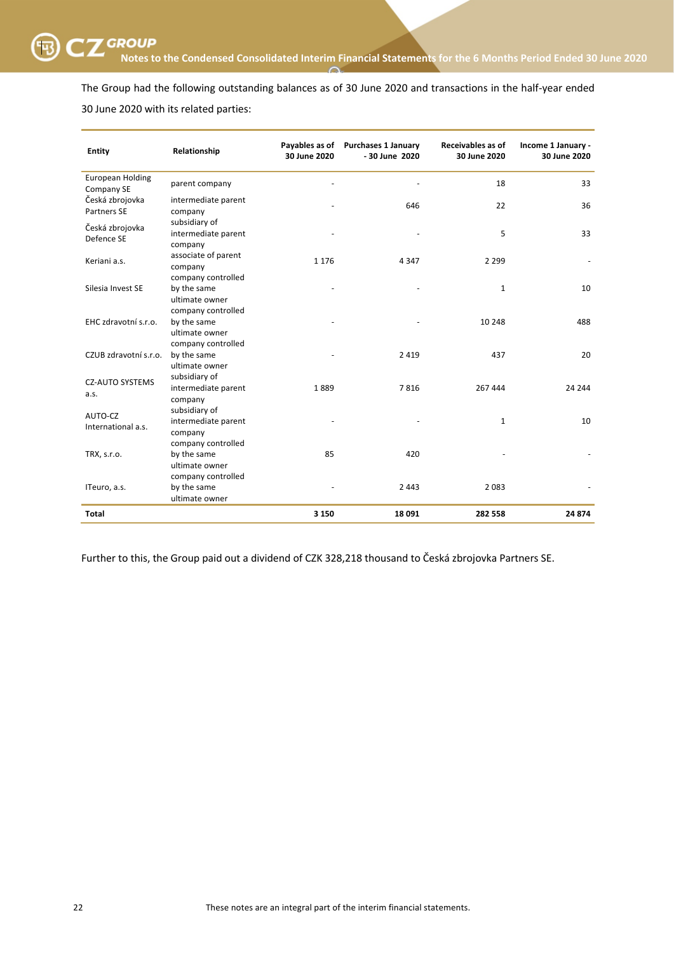The Group had the following outstanding balances as of 30 June 2020 and transactions in the half-year ended 30 June 2020 with its related parties:

| <b>Entity</b>                         | Relationship                   | 30 June 2020 | Payables as of Purchases 1 January<br>- 30 June 2020 | Receivables as of<br>30 June 2020 | Income 1 January -<br>30 June 2020 |
|---------------------------------------|--------------------------------|--------------|------------------------------------------------------|-----------------------------------|------------------------------------|
| <b>European Holding</b><br>Company SE | parent company                 |              |                                                      | 18                                | 33                                 |
| Česká zbrojovka                       | intermediate parent            |              | 646                                                  | 22                                | 36                                 |
| Partners SE                           | company                        |              |                                                      |                                   |                                    |
| Česká zbrojovka<br>Defence SE         | subsidiary of                  |              |                                                      |                                   |                                    |
|                                       | intermediate parent<br>company |              |                                                      | 5                                 | 33                                 |
| Keriani a.s.                          | associate of parent<br>company | 1 1 7 6      | 4 3 4 7                                              | 2 2 9 9                           |                                    |
|                                       | company controlled             |              |                                                      |                                   |                                    |
| Silesia Invest SE                     | by the same                    |              |                                                      | $\mathbf{1}$                      | 10                                 |
|                                       | ultimate owner                 |              |                                                      |                                   |                                    |
| EHC zdravotní s.r.o.                  | company controlled             |              |                                                      |                                   |                                    |
|                                       | by the same<br>ultimate owner  |              |                                                      | 10 248                            | 488                                |
|                                       | company controlled             |              |                                                      |                                   |                                    |
| CZUB zdravotní s.r.o.                 | by the same                    |              | 2419                                                 | 437                               | 20                                 |
|                                       | ultimate owner                 |              |                                                      |                                   |                                    |
|                                       | subsidiary of                  |              |                                                      |                                   |                                    |
| <b>CZ-AUTO SYSTEMS</b>                | intermediate parent            | 1889         | 7816                                                 | 267 444                           | 24 244                             |
| a.s.                                  | company                        |              |                                                      |                                   |                                    |
| AUTO-CZ                               | subsidiary of                  |              |                                                      |                                   |                                    |
| International a.s.                    | intermediate parent            |              |                                                      | $\mathbf{1}$                      | 10                                 |
|                                       | company                        |              |                                                      |                                   |                                    |
|                                       | company controlled             |              |                                                      |                                   |                                    |
| TRX, s.r.o.                           | by the same                    | 85           | 420                                                  |                                   |                                    |
|                                       | ultimate owner                 |              |                                                      |                                   |                                    |
| ITeuro, a.s.                          | company controlled             |              |                                                      |                                   |                                    |
|                                       | by the same                    |              | 2 4 4 3                                              | 2083                              |                                    |
|                                       | ultimate owner                 |              |                                                      |                                   |                                    |
| <b>Total</b>                          |                                | 3 1 5 0      | 18 091                                               | 282 558                           | 24 874                             |

Further to this, the Group paid out a dividend of CZK 328,218 thousand to Česká zbrojovka Partners SE.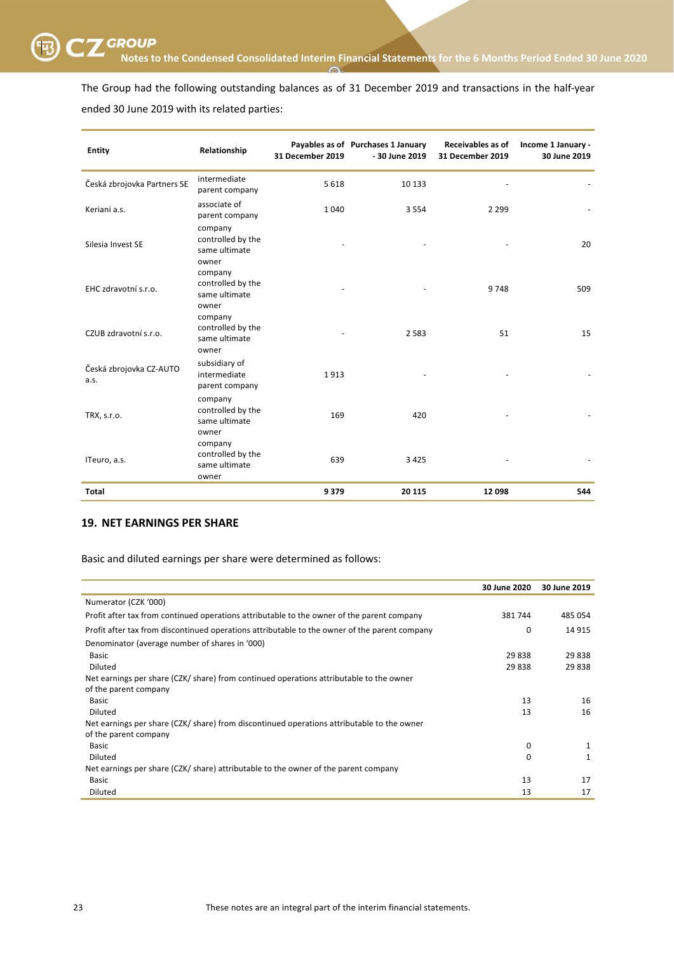

The Group had the following outstanding balances as of 31 December 2019 and transactions in the half-year ended 30 June 2019 with its related parties:

| <b>Entity</b>                   | Relationship                                           | 31 December 2019 | Payables as of Purchases 1 January<br>- 30 June 2019 | Receivables as of<br><b>31 December 2019</b> | Income 1 January -<br>30 June 2019 |
|---------------------------------|--------------------------------------------------------|------------------|------------------------------------------------------|----------------------------------------------|------------------------------------|
| Česká zbrojovka Partners SE     | intermediate<br>parent company                         | 5 6 1 8          | 10 133                                               |                                              |                                    |
| Keriani a.s.                    | associate of<br>parent company                         | 1040             | 3 5 5 4                                              | 2 2 9 9                                      |                                    |
| Silesia Invest SE               | company<br>controlled by the<br>same ultimate<br>owner |                  |                                                      |                                              | 20                                 |
| EHC zdravotní s.r.o.            | company<br>controlled by the<br>same ultimate<br>owner |                  |                                                      | 9748                                         | 509                                |
| CZUB zdravotní s.r.o.           | company<br>controlled by the<br>same ultimate<br>owner |                  | 2 5 8 3                                              | 51                                           | 15                                 |
| Česká zbrojovka CZ-AUTO<br>a.s. | subsidiary of<br>intermediate<br>parent company        | 1913             |                                                      |                                              |                                    |
| TRX, s.r.o.                     | company<br>controlled by the<br>same ultimate<br>owner | 169              | 420                                                  |                                              |                                    |
| ITeuro, a.s.                    | company<br>controlled by the<br>same ultimate<br>owner | 639              | 3 4 2 5                                              |                                              |                                    |
| <b>Total</b>                    |                                                        | 9379             | 20 115                                               | 12 098                                       | 544                                |

# **19. NET EARNINGS PER SHARE**

Basic and diluted earnings per share were determined as follows:

|                                                                                               | 30 June 2020 | 30 June 2019 |
|-----------------------------------------------------------------------------------------------|--------------|--------------|
| Numerator (CZK '000)                                                                          |              |              |
| Profit after tax from continued operations attributable to the owner of the parent company    | 381 744      | 485 054      |
| Profit after tax from discontinued operations attributable to the owner of the parent company | 0            | 14 9 15      |
| Denominator (average number of shares in '000)                                                |              |              |
| <b>Basic</b>                                                                                  | 29 838       | 29 838       |
| <b>Diluted</b>                                                                                | 29 838       | 29838        |
| Net earnings per share (CZK/ share) from continued operations attributable to the owner       |              |              |
| of the parent company                                                                         |              |              |
| <b>Basic</b>                                                                                  | 13           | 16           |
| <b>Diluted</b>                                                                                | 13           | 16           |
| Net earnings per share (CZK/ share) from discontinued operations attributable to the owner    |              |              |
| of the parent company                                                                         |              |              |
| Basic                                                                                         | 0            | 1            |
| Diluted                                                                                       | 0            | 1            |
| Net earnings per share (CZK/ share) attributable to the owner of the parent company           |              |              |
| <b>Basic</b>                                                                                  | 13           | 17           |
| Diluted                                                                                       | 13           | 17           |